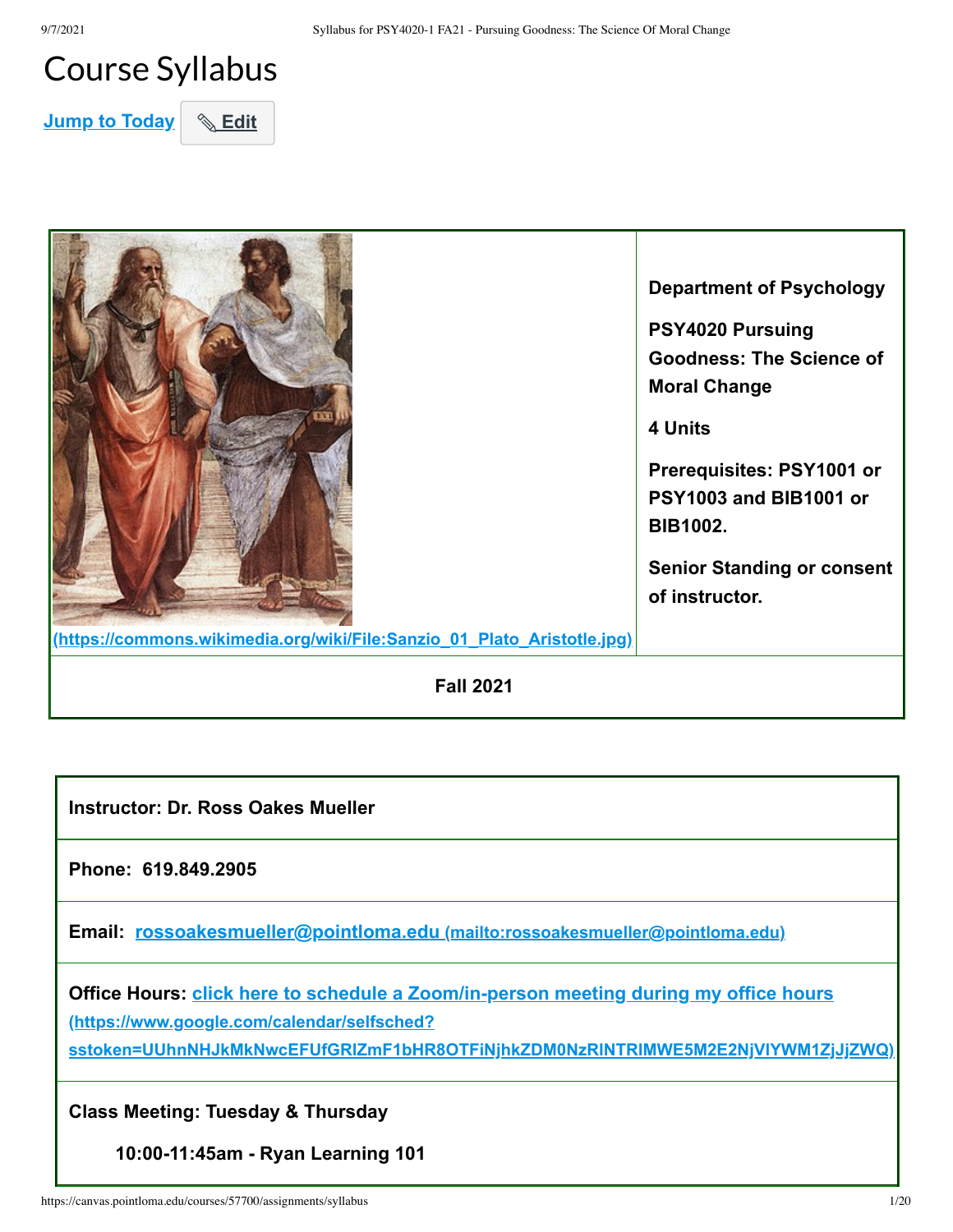## Course Syllabus

**Jump to Today & Edit** 



**Instructor: Dr. Ross Oakes Mueller**

**Phone: 619.849.2905**

**Email: rossoakesmueller@pointloma.edu [\(mailto:rossoakesmueller@pointloma.edu\)](mailto:rossoakesmueller@pointloma.edu)**

**[Office Hours: click here to schedule a Zoom/in-person meeting during my office hours](https://www.google.com/calendar/selfsched?sstoken=UUhnNHJkMkNwcEFUfGRlZmF1bHR8OTFiNjhkZDM0NzRlNTRlMWE5M2E2NjVlYWM1ZjJjZWQ) (https://www.google.com/calendar/selfsched?**

**sstoken=UUhnNHJkMkNwcEFUfGRlZmF1bHR8OTFiNjhkZDM0NzRlNTRlMWE5M2E2NjVlYWM1ZjJjZWQ)**

**Class Meeting: Tuesday & Thursday**

**10:00-11:45am - Ryan Learning 101**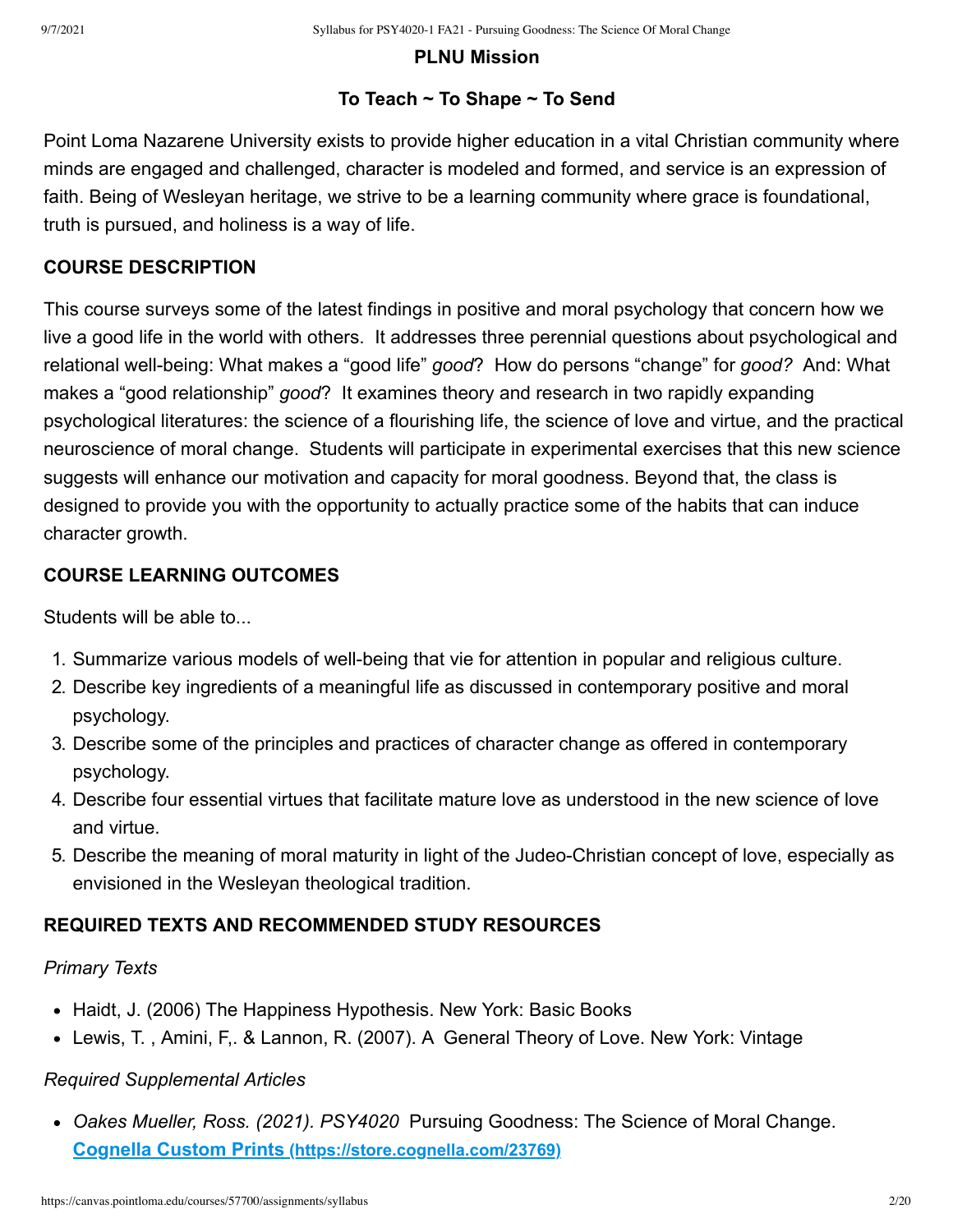#### **PLNU Mission**

#### **To Teach ~ To Shape ~ To Send**

Point Loma Nazarene University exists to provide higher education in a vital Christian community where minds are engaged and challenged, character is modeled and formed, and service is an expression of faith. Being of Wesleyan heritage, we strive to be a learning community where grace is foundational, truth is pursued, and holiness is a way of life.

#### **COURSE DESCRIPTION**

This course surveys some of the latest findings in positive and moral psychology that concern how we live a good life in the world with others. It addresses three perennial questions about psychological and relational well-being: What makes a "good life" *good*? How do persons "change" for *good?* And: What makes a "good relationship" *good*? It examines theory and research in two rapidly expanding psychological literatures: the science of a flourishing life, the science of love and virtue, and the practical neuroscience of moral change. Students will participate in experimental exercises that this new science suggests will enhance our motivation and capacity for moral goodness. Beyond that, the class is designed to provide you with the opportunity to actually practice some of the habits that can induce character growth.

#### **COURSE LEARNING OUTCOMES**

Students will be able to...

- 1. Summarize various models of well-being that vie for attention in popular and religious culture.
- 2. Describe key ingredients of a meaningful life as discussed in contemporary positive and moral psychology.
- 3. Describe some of the principles and practices of character change as offered in contemporary psychology.
- 4. Describe four essential virtues that facilitate mature love as understood in the new science of love and virtue.
- 5. Describe the meaning of moral maturity in light of the Judeo-Christian concept of love, especially as envisioned in the Wesleyan theological tradition.

#### **REQUIRED TEXTS AND RECOMMENDED STUDY RESOURCES**

#### *Primary Texts*

- Haidt, J. (2006) The Happiness Hypothesis. New York: Basic Books
- Lewis, T. , Amini, F,. & Lannon, R. (2007). A General Theory of Love. New York: Vintage

## *Required Supplemental Articles*

*Oakes Mueller, Ross. (2021). PSY4020* Pursuing Goodness: The Science of Moral Change. **Cognella Custom Prints [\(https://store.cognella.com/23769\)](https://store.cognella.com/23769)**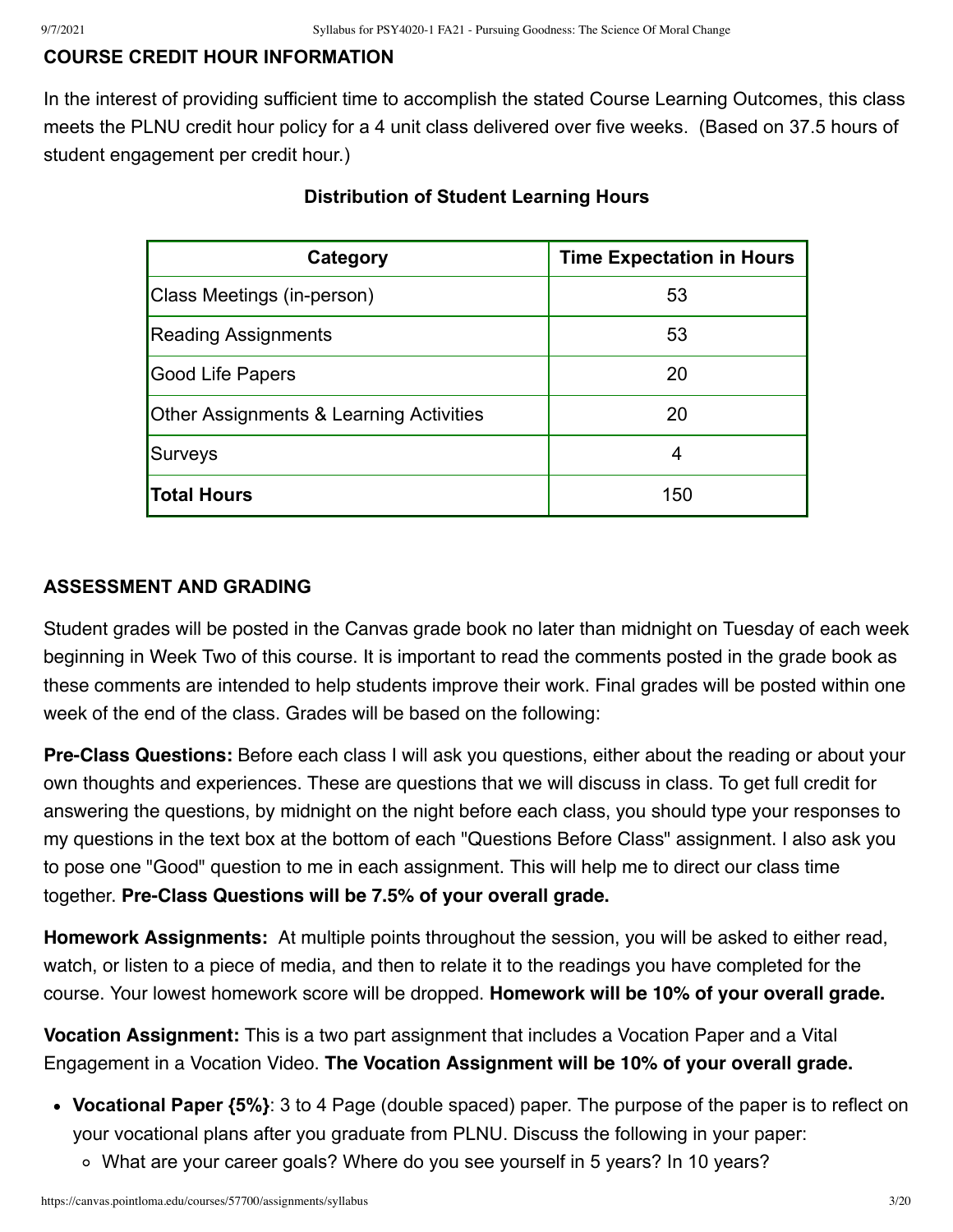## **COURSE CREDIT HOUR INFORMATION**

In the interest of providing sufficient time to accomplish the stated Course Learning Outcomes, this class meets the PLNU credit hour policy for a 4 unit class delivered over five weeks. (Based on 37.5 hours of student engagement per credit hour.)

| Category                                           | <b>Time Expectation in Hours</b> |
|----------------------------------------------------|----------------------------------|
| Class Meetings (in-person)                         | 53                               |
| <b>Reading Assignments</b>                         | 53                               |
| Good Life Papers                                   | 20                               |
| <b>Other Assignments &amp; Learning Activities</b> | 20                               |
| Surveys                                            |                                  |
| <b>Total Hours</b>                                 | 150                              |

### **Distribution of Student Learning Hours**

#### **ASSESSMENT AND GRADING**

Student grades will be posted in the Canvas grade book no later than midnight on Tuesday of each week beginning in Week Two of this course. It is important to read the comments posted in the grade book as these comments are intended to help students improve their work. Final grades will be posted within one week of the end of the class. Grades will be based on the following:

**Pre-Class Questions:** Before each class I will ask you questions, either about the reading or about your own thoughts and experiences. These are questions that we will discuss in class. To get full credit for answering the questions, by midnight on the night before each class, you should type your responses to my questions in the text box at the bottom of each "Questions Before Class" assignment. I also ask you to pose one "Good" question to me in each assignment. This will help me to direct our class time together. **Pre-Class Questions will be 7.5% of your overall grade.**

**Homework Assignments:** At multiple points throughout the session, you will be asked to either read, watch, or listen to a piece of media, and then to relate it to the readings you have completed for the course. Your lowest homework score will be dropped. **Homework will be 10% of your overall grade.** 

**Vocation Assignment:** This is a two part assignment that includes a Vocation Paper and a Vital Engagement in a Vocation Video. **The Vocation Assignment will be 10% of your overall grade.** 

- **Vocational Paper {5%}**: 3 to 4 Page (double spaced) paper. The purpose of the paper is to reflect on your vocational plans after you graduate from PLNU. Discuss the following in your paper:
	- What are your career goals? Where do you see yourself in 5 years? In 10 years?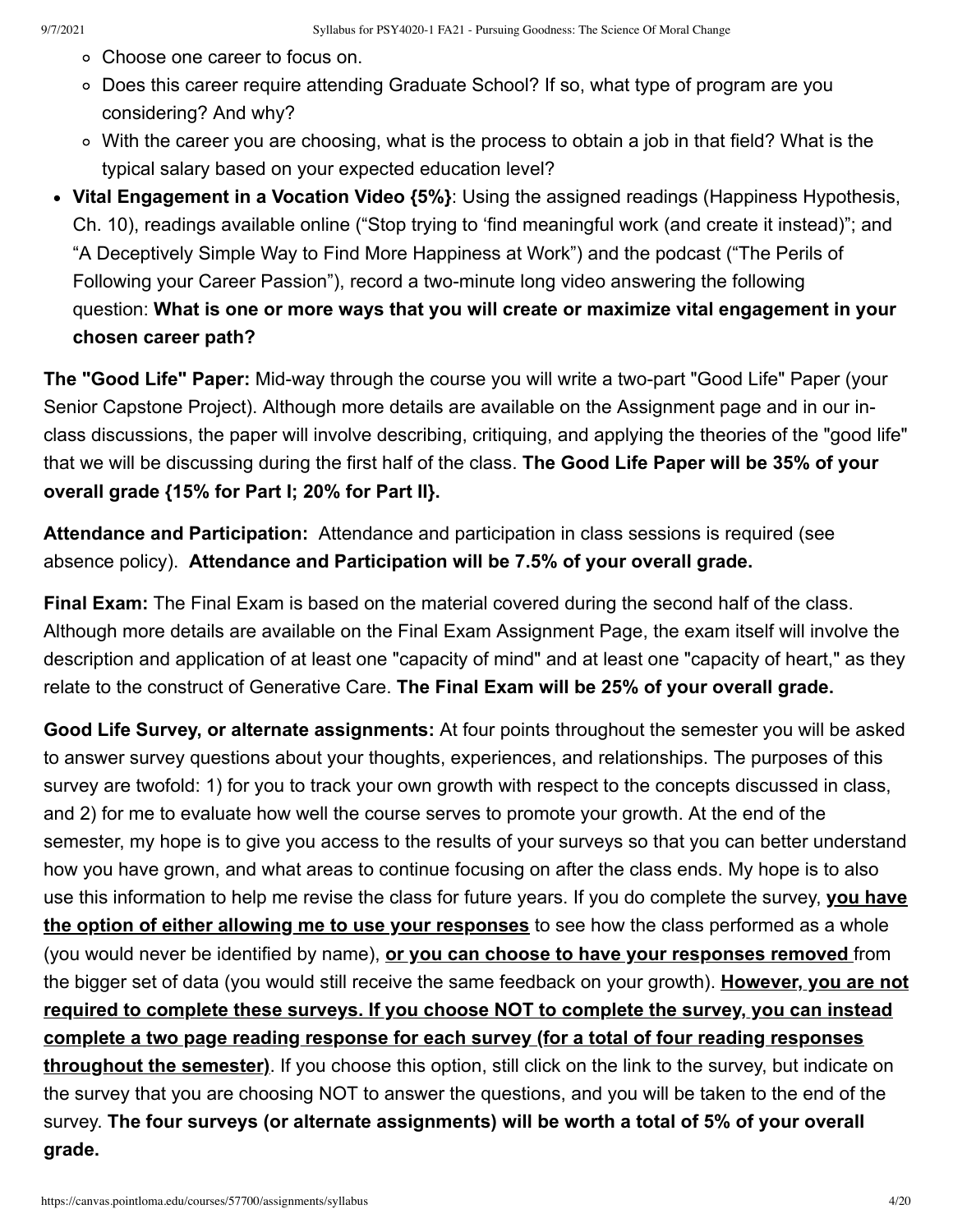- Choose one career to focus on.
- Does this career require attending Graduate School? If so, what type of program are you considering? And why?
- With the career you are choosing, what is the process to obtain a job in that field? What is the typical salary based on your expected education level?
- **Vital Engagement in a Vocation Video {5%}**: Using the assigned readings (Happiness Hypothesis, Ch. 10), readings available online ("Stop trying to 'find meaningful work (and create it instead)"; and "A Deceptively Simple Way to Find More Happiness at Work") and the podcast ("The Perils of Following your Career Passion"), record a two-minute long video answering the following question: **What is one or more ways that you will create or maximize vital engagement in your chosen career path?**

**The "Good Life" Paper:** Mid-way through the course you will write a two-part "Good Life" Paper (your Senior Capstone Project). Although more details are available on the Assignment page and in our inclass discussions, the paper will involve describing, critiquing, and applying the theories of the "good life" that we will be discussing during the first half of the class. **The Good Life Paper will be 35% of your overall grade {15% for Part I; 20% for Part II}.**

**Attendance and Participation:** Attendance and participation in class sessions is required (see absence policy). **Attendance and Participation will be 7.5% of your overall grade.**

**Final Exam:** The Final Exam is based on the material covered during the second half of the class. Although more details are available on the Final Exam Assignment Page, the exam itself will involve the description and application of at least one "capacity of mind" and at least one "capacity of heart," as they relate to the construct of Generative Care. **The Final Exam will be 25% of your overall grade.**

**Good Life Survey, or alternate assignments:** At four points throughout the semester you will be asked to answer survey questions about your thoughts, experiences, and relationships. The purposes of this survey are twofold: 1) for you to track your own growth with respect to the concepts discussed in class, and 2) for me to evaluate how well the course serves to promote your growth. At the end of the semester, my hope is to give you access to the results of your surveys so that you can better understand how you have grown, and what areas to continue focusing on after the class ends. My hope is to also use this information to help me revise the class for future years. If you do complete the survey, **you have the option of either allowing me to use your responses** to see how the class performed as a whole (you would never be identified by name), **or you can choose to have your responses removed** from the bigger set of data (you would still receive the same feedback on your growth). **However, you are not required to complete these surveys. If you choose NOT to complete the survey, you can instead complete a two page reading response for each survey (for a total of four reading responses throughout the semester)**. If you choose this option, still click on the link to the survey, but indicate on the survey that you are choosing NOT to answer the questions, and you will be taken to the end of the survey. **The four surveys (or alternate assignments) will be worth a total of 5% of your overall grade.**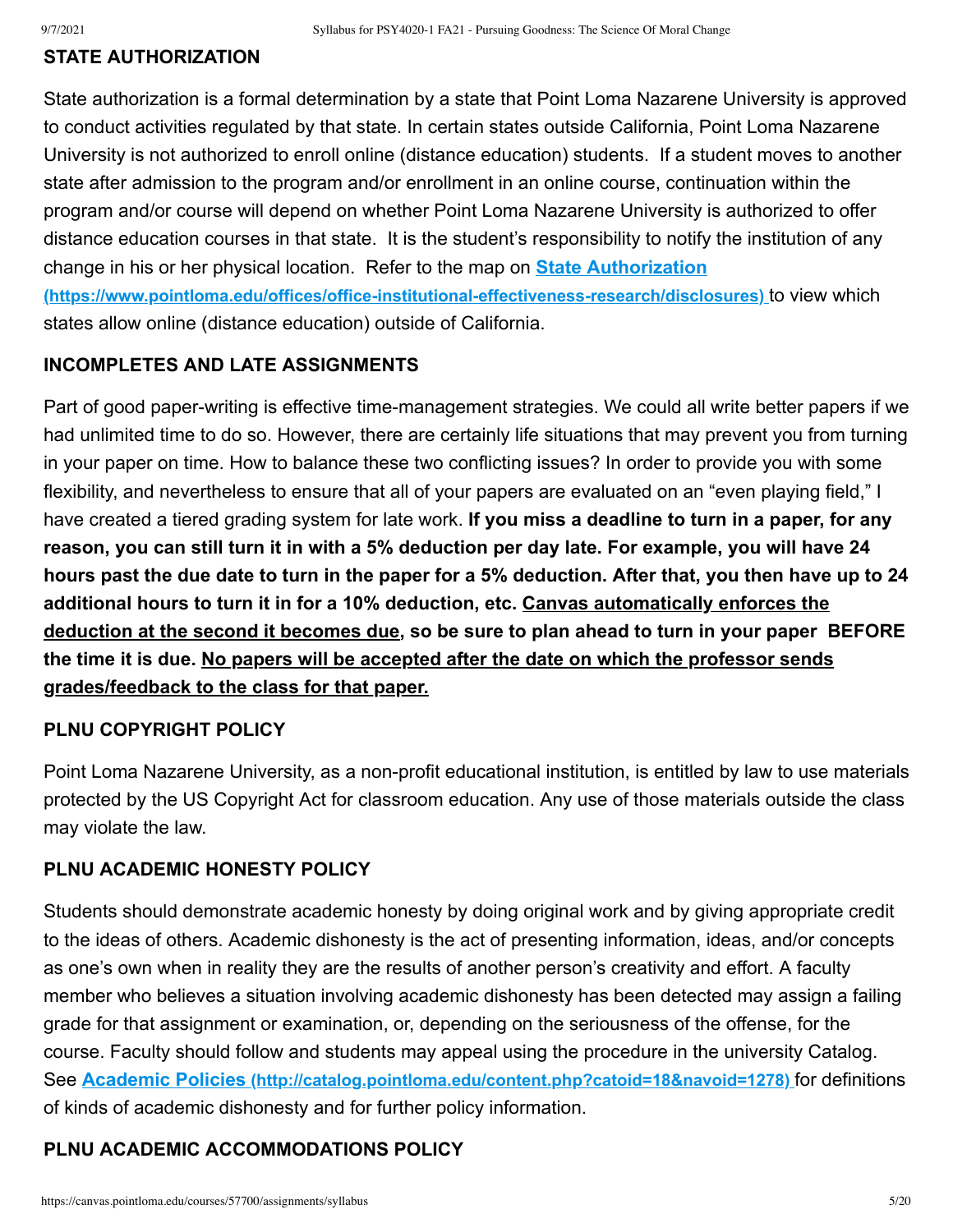#### **STATE AUTHORIZATION**

State authorization is a formal determination by a state that Point Loma Nazarene University is approved to conduct activities regulated by that state. In certain states outside California, Point Loma Nazarene University is not authorized to enroll online (distance education) students. If a student moves to another state after admission to the program and/or enrollment in an online course, continuation within the program and/or course will depend on whether Point Loma Nazarene University is authorized to offer distance education courses in that state. It is the student's responsibility to notify the institution of any change in his or her physical location. Refer to the map on **State Authorization [\(https://www.pointloma.edu/offices/office-institutional-effectiveness-research/disclosures\)](https://www.pointloma.edu/offices/office-institutional-effectiveness-research/disclosures)** to view which states allow online (distance education) outside of California.

#### **INCOMPLETES AND LATE ASSIGNMENTS**

Part of good paper-writing is effective time-management strategies. We could all write better papers if we had unlimited time to do so. However, there are certainly life situations that may prevent you from turning in your paper on time. How to balance these two conflicting issues? In order to provide you with some flexibility, and nevertheless to ensure that all of your papers are evaluated on an "even playing field," I have created a tiered grading system for late work. **If you miss a deadline to turn in a paper, for any reason, you can still turn it in with a 5% deduction per day late. For example, you will have 24 hours past the due date to turn in the paper for a 5% deduction. After that, you then have up to 24 additional hours to turn it in for a 10% deduction, etc. Canvas automatically enforces the deduction at the second it becomes due, so be sure to plan ahead to turn in your paper BEFORE the time it is due. No papers will be accepted after the date on which the professor sends grades/feedback to the class for that paper.**

#### **PLNU COPYRIGHT POLICY**

Point Loma Nazarene University, as a non-profit educational institution, is entitled by law to use materials protected by the US Copyright Act for classroom education. Any use of those materials outside the class may violate the law.

#### **PLNU ACADEMIC HONESTY POLICY**

Students should demonstrate academic honesty by doing original work and by giving appropriate credit to the ideas of others. Academic dishonesty is the act of presenting information, ideas, and/or concepts as one's own when in reality they are the results of another person's creativity and effort. A faculty member who believes a situation involving academic dishonesty has been detected may assign a failing grade for that assignment or examination, or, depending on the seriousness of the offense, for the course. Faculty should follow and students may appeal using the procedure in the university Catalog. See **Academic Policies [\(http://catalog.pointloma.edu/content.php?catoid=18&navoid=1278\)](http://catalog.pointloma.edu/content.php?catoid=18&navoid=1278)** for definitions of kinds of academic dishonesty and for further policy information.

#### **PLNU ACADEMIC ACCOMMODATIONS POLICY**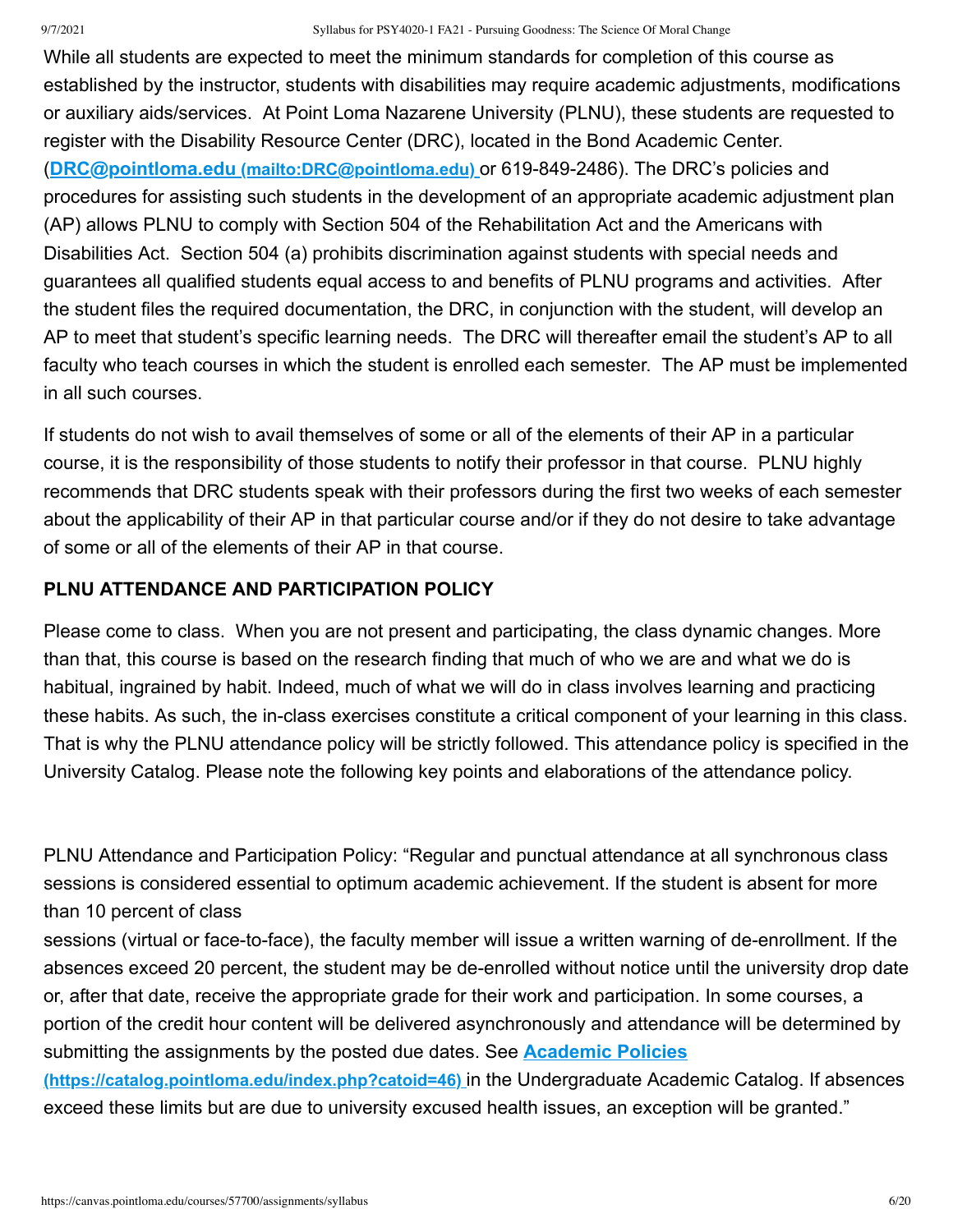#### 9/7/2021 Syllabus for PSY4020-1 FA21 - Pursuing Goodness: The Science Of Moral Change

While all students are expected to meet the minimum standards for completion of this course as established by the instructor, students with disabilities may require academic adjustments, modifications or auxiliary aids/services. At Point Loma Nazarene University (PLNU), these students are requested to register with the Disability Resource Center (DRC), located in the Bond Academic Center. (**DRC@pointloma.edu [\(mailto:DRC@pointloma.edu\)](mailto:DRC@pointloma.edu)** or 619-849-2486). The DRC's policies and procedures for assisting such students in the development of an appropriate academic adjustment plan (AP) allows PLNU to comply with Section 504 of the Rehabilitation Act and the Americans with Disabilities Act. Section 504 (a) prohibits discrimination against students with special needs and guarantees all qualified students equal access to and benefits of PLNU programs and activities. After the student files the required documentation, the DRC, in conjunction with the student, will develop an AP to meet that student's specific learning needs. The DRC will thereafter email the student's AP to all faculty who teach courses in which the student is enrolled each semester. The AP must be implemented in all such courses.

If students do not wish to avail themselves of some or all of the elements of their AP in a particular course, it is the responsibility of those students to notify their professor in that course. PLNU highly recommends that DRC students speak with their professors during the first two weeks of each semester about the applicability of their AP in that particular course and/or if they do not desire to take advantage of some or all of the elements of their AP in that course.

#### **PLNU ATTENDANCE AND PARTICIPATION POLICY**

Please come to class. When you are not present and participating, the class dynamic changes. More than that, this course is based on the research finding that much of who we are and what we do is habitual, ingrained by habit. Indeed, much of what we will do in class involves learning and practicing these habits. As such, the in-class exercises constitute a critical component of your learning in this class. That is why the PLNU attendance policy will be strictly followed. This attendance policy is specified in the University Catalog. Please note the following key points and elaborations of the attendance policy.

PLNU Attendance and Participation Policy: "Regular and punctual attendance at all synchronous class sessions is considered essential to optimum academic achievement. If the student is absent for more than 10 percent of class

sessions (virtual or face-to-face), the faculty member will issue a written warning of de-enrollment. If the absences exceed 20 percent, the student may be de-enrolled without notice until the university drop date or, after that date, receive the appropriate grade for their work and participation. In some courses, a portion of the credit hour content will be delivered asynchronously and attendance will be determined by [submitting the assignments by the posted due dates. See](https://catalog.pointloma.edu/index.php?catoid=46) **Academic Policies**

**(https://catalog.pointloma.edu/index.php?catoid=46)** in the Undergraduate Academic Catalog. If absences exceed these limits but are due to university excused health issues, an exception will be granted."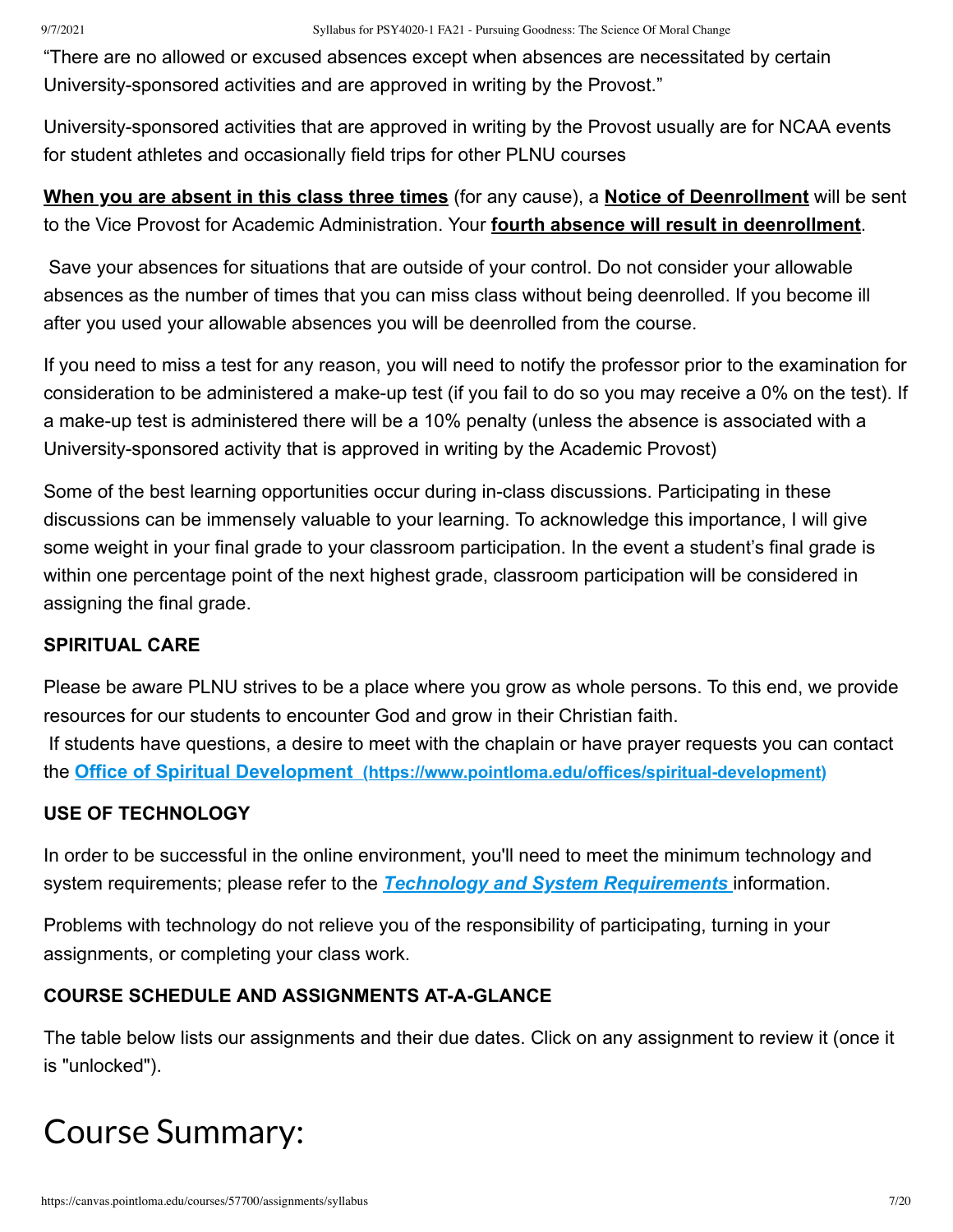"There are no allowed or excused absences except when absences are necessitated by certain University-sponsored activities and are approved in writing by the Provost."

University-sponsored activities that are approved in writing by the Provost usually are for NCAA events for student athletes and occasionally field trips for other PLNU courses

## **When you are absent in this class three times** (for any cause), a **Notice of Deenrollment** will be sent to the Vice Provost for Academic Administration. Your **fourth absence will result in deenrollment**.

Save your absences for situations that are outside of your control. Do not consider your allowable absences as the number of times that you can miss class without being deenrolled. If you become ill after you used your allowable absences you will be deenrolled from the course.

If you need to miss a test for any reason, you will need to notify the professor prior to the examination for consideration to be administered a make-up test (if you fail to do so you may receive a 0% on the test). If a make-up test is administered there will be a 10% penalty (unless the absence is associated with a University-sponsored activity that is approved in writing by the Academic Provost)

Some of the best learning opportunities occur during in-class discussions. Participating in these discussions can be immensely valuable to your learning. To acknowledge this importance, I will give some weight in your final grade to your classroom participation. In the event a student's final grade is within one percentage point of the next highest grade, classroom participation will be considered in assigning the final grade.

## **SPIRITUAL CARE**

Please be aware PLNU strives to be a place where you grow as whole persons. To this end, we provide resources for our students to encounter God and grow in their Christian faith. If students have questions, a desire to meet with the chaplain or have prayer requests you can contact the **Office of Spiritual Development [\(https://www.pointloma.edu/offices/spiritual-development\)](https://www.pointloma.edu/offices/spiritual-development)**

## **USE OF TECHNOLOGY**

In order to be successful in the online environment, you'll need to meet the minimum technology and system requirements; please refer to the *[Technology and System Requirements](https://canvas.pointloma.edu/courses/51315/pages/technology-and-system-requirements)* information.

Problems with technology do not relieve you of the responsibility of participating, turning in your assignments, or completing your class work.

## **COURSE SCHEDULE AND ASSIGNMENTS AT-A-GLANCE**

The table below lists our assignments and their due dates. Click on any assignment to review it (once it is "unlocked").

# Course Summary: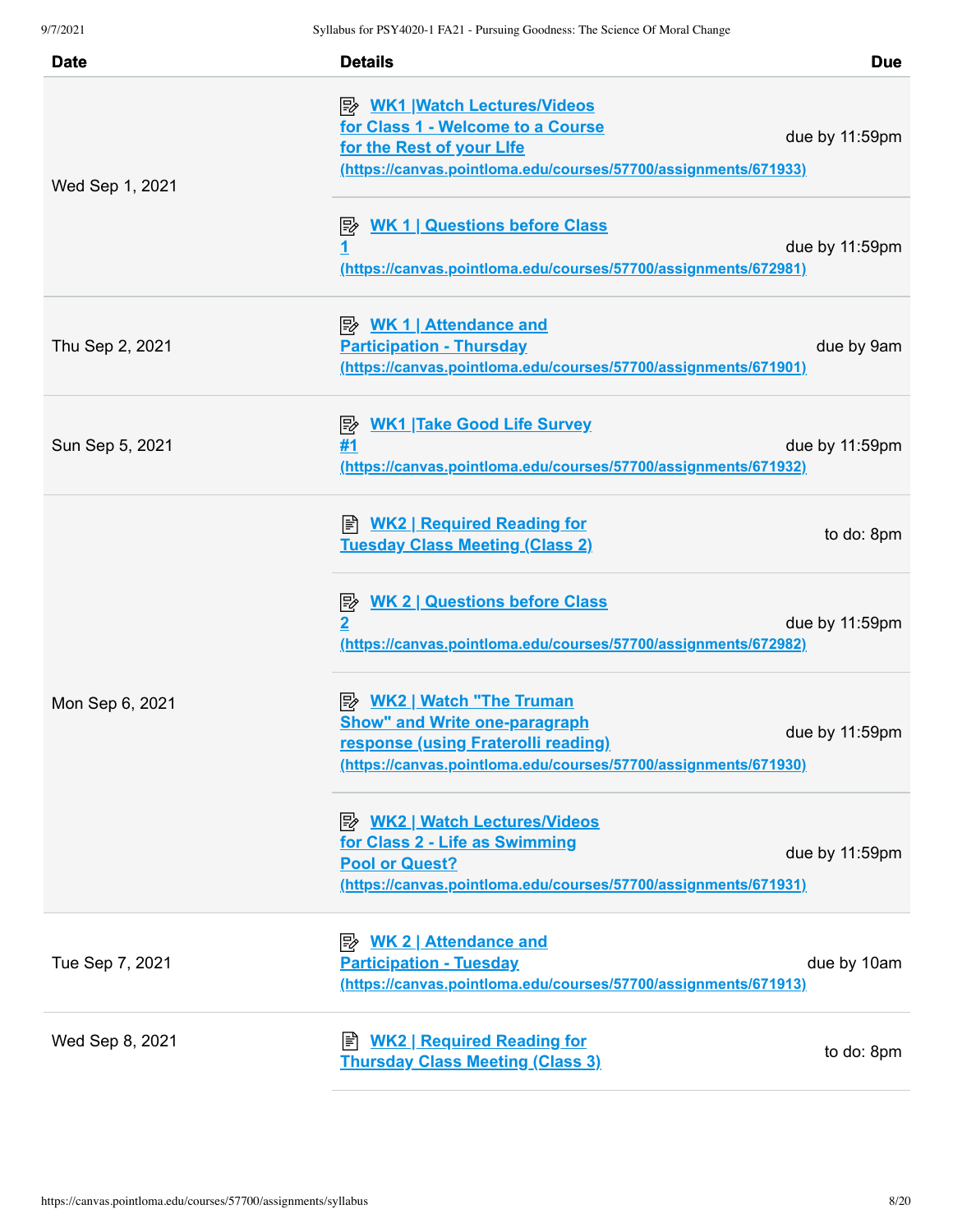| <b>Date</b>     | <b>Details</b>                                                                                                                                                          | <b>Due</b>     |
|-----------------|-------------------------------------------------------------------------------------------------------------------------------------------------------------------------|----------------|
| Wed Sep 1, 2021 | <b>B</b> WK1 Watch Lectures/Videos<br>for Class 1 - Welcome to a Course<br>for the Rest of your Life<br>(https://canvas.pointloma.edu/courses/57700/assignments/671933) | due by 11:59pm |
|                 | <b>WK 1   Questions before Class</b><br>彫<br><u>1</u><br>(https://canvas.pointloma.edu/courses/57700/assignments/672981)                                                | due by 11:59pm |
| Thu Sep 2, 2021 | <b>Participation - Thursday</b><br>(https://canvas.pointloma.edu/courses/57700/assignments/671901)                                                                      | due by 9am     |
| Sun Sep 5, 2021 | <b>WK1 Take Good Life Survey</b><br>零<br>#1<br>(https://canvas.pointloma.edu/courses/57700/assignments/671932)                                                          | due by 11:59pm |
| Mon Sep 6, 2021 | <b>E</b> WK2   Required Reading for<br><b>Tuesday Class Meeting (Class 2)</b>                                                                                           | to do: 8pm     |
|                 | <b>WK 2   Questions before Class</b><br>暨<br>$\overline{2}$<br>(https://canvas.pointloma.edu/courses/57700/assignments/672982)                                          | due by 11:59pm |
|                 | <b>Show" and Write one-paragraph</b><br>response (using Fraterolli reading)<br>(https://canvas.pointloma.edu/courses/57700/assignments/671930)                          | due by 11:59pm |
|                 | <b>B</b> WK2   Watch Lectures/Videos<br>for Class 2 - Life as Swimming<br><b>Pool or Quest?</b><br>(https://canvas.pointloma.edu/courses/57700/assignments/671931)      | due by 11:59pm |
| Tue Sep 7, 2021 | <b>Participation - Tuesday</b><br>(https://canvas.pointloma.edu/courses/57700/assignments/671913)                                                                       | due by 10am    |
| Wed Sep 8, 2021 | <b>WK2   Required Reading for</b><br>訚<br><b>Thursday Class Meeting (Class 3)</b>                                                                                       | to do: 8pm     |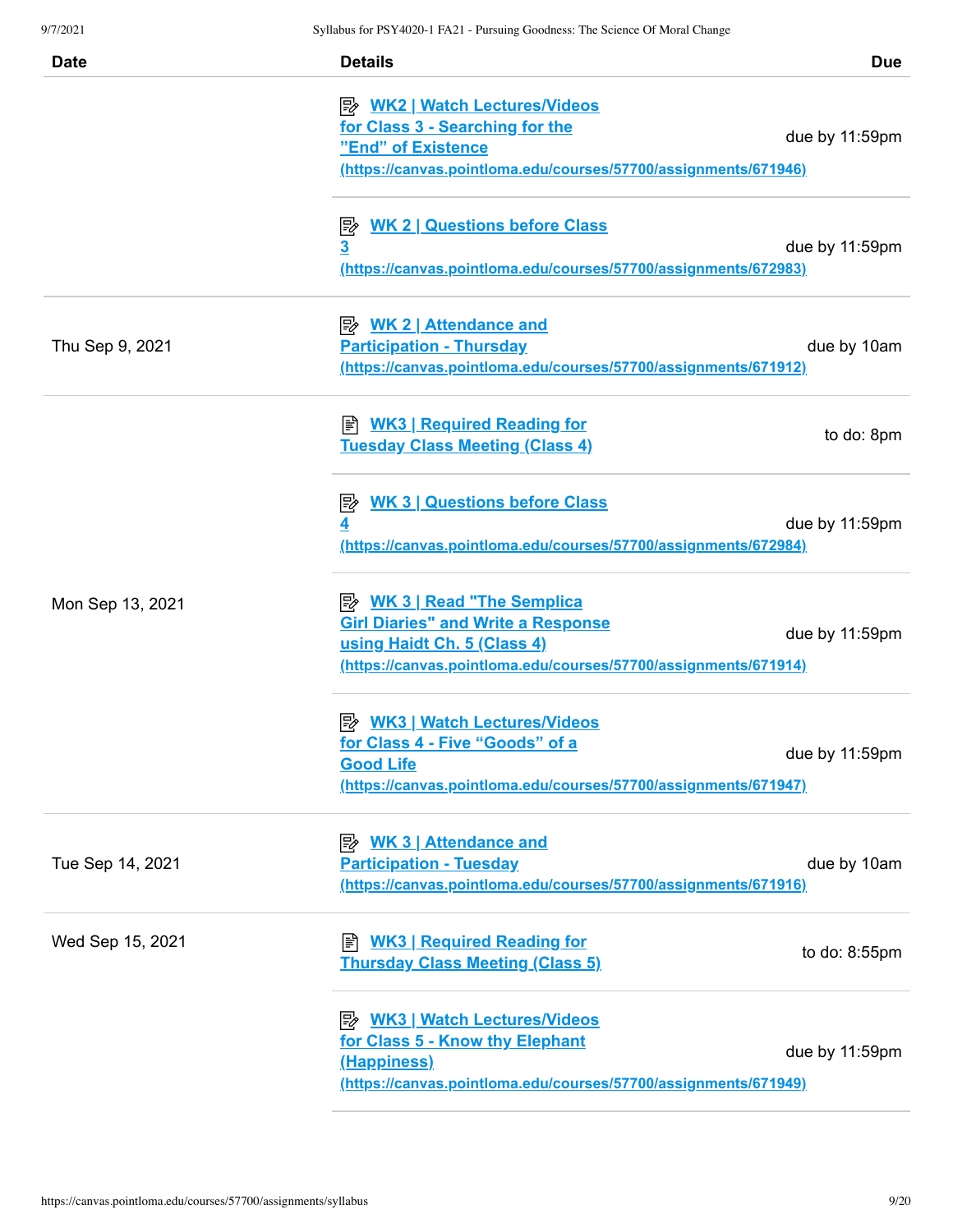| <b>Date</b>      | <b>Details</b><br><b>Due</b>                                                                                                                                                                        |
|------------------|-----------------------------------------------------------------------------------------------------------------------------------------------------------------------------------------------------|
|                  | <u>  WK2   Watch Lectures/Videos</u><br>for Class 3 - Searching for the<br>due by 11:59pm<br>"End" of Existence<br><u>(https://canvas.pointloma.edu/courses/57700/assignments/671946)</u>           |
|                  | <b>WK 2   Questions before Class</b><br>零<br><u>3</u><br>due by 11:59pm<br>(https://canvas.pointloma.edu/courses/57700/assignments/672983)                                                          |
| Thu Sep 9, 2021  | <b>Participation - Thursday</b><br>due by 10am<br>(https://canvas.pointloma.edu/courses/57700/assignments/671912)                                                                                   |
|                  | <b>E</b> WK3   Required Reading for<br>to do: 8pm<br><b>Tuesday Class Meeting (Class 4)</b>                                                                                                         |
|                  | <b>WK 3   Questions before Class</b><br> 診<br>due by 11:59pm<br>(https://canvas.pointloma.edu/courses/57700/assignments/672984)                                                                     |
| Mon Sep 13, 2021 | <b>B</b> WK 3   Read "The Semplica<br><b>Girl Diaries" and Write a Response</b><br>due by 11:59pm<br>using Haidt Ch. 5 (Class 4)<br>(https://canvas.pointloma.edu/courses/57700/assignments/671914) |
|                  | <b>By WK3   Watch Lectures/Videos</b><br>for Class 4 - Five "Goods" of a<br>due by 11:59pm<br><b>Good Life</b><br>(https://canvas.pointloma.edu/courses/57700/assignments/671947)                   |
| Tue Sep 14, 2021 | <b>WK 3   Attendance and</b><br>吟<br><b>Participation - Tuesday</b><br>due by 10am<br>(https://canvas.pointloma.edu/courses/57700/assignments/671916)                                               |
| Wed Sep 15, 2021 | <b>WK3   Required Reading for</b><br>to do: 8:55pm<br><b>Thursday Class Meeting (Class 5)</b>                                                                                                       |
|                  | <b>B</b> WK3   Watch Lectures/Videos<br>for Class 5 - Know thy Elephant<br>due by 11:59pm<br>(Happiness)<br>(https://canvas.pointloma.edu/courses/57700/assignments/671949)                         |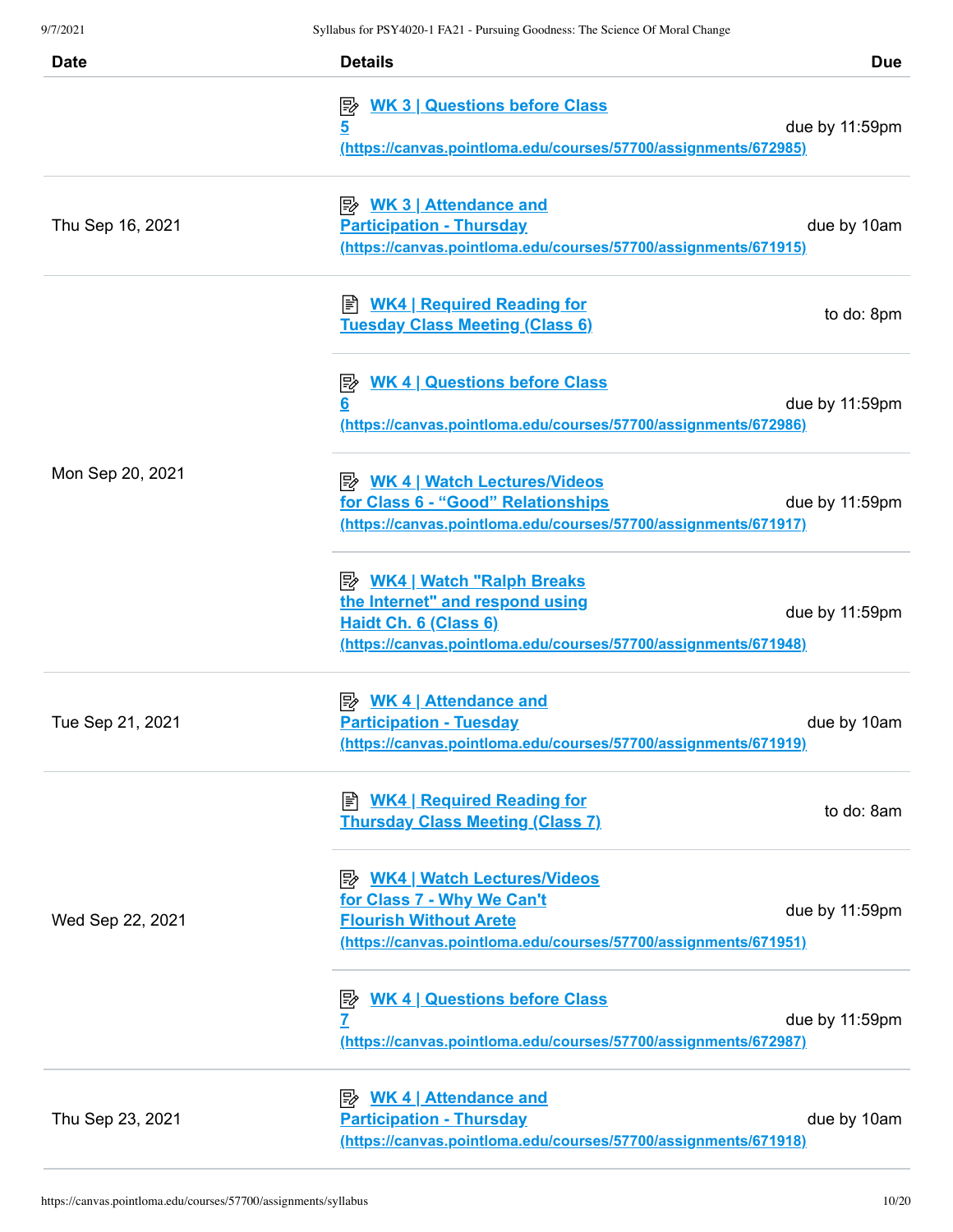| <b>Date</b>      | <b>Details</b>                                                                                                                                                         | <b>Due</b>     |
|------------------|------------------------------------------------------------------------------------------------------------------------------------------------------------------------|----------------|
|                  | <b>WK 3   Questions before Class</b><br>零<br>5<br>(https://canvas.pointloma.edu/courses/57700/assignments/672985)                                                      | due by 11:59pm |
| Thu Sep 16, 2021 | <b>Attendance and</b><br><b>Participation - Thursday</b><br>(https://canvas.pointloma.edu/courses/57700/assignments/671915)                                            | due by 10am    |
|                  | <b>WK4   Required Reading for</b><br><b>Tuesday Class Meeting (Class 6)</b>                                                                                            | to do: 8pm     |
|                  | <b>WK 4   Questions before Class</b><br>影<br>6<br>(https://canvas.pointloma.edu/courses/57700/assignments/672986)                                                      | due by 11:59pm |
| Mon Sep 20, 2021 | <b>A</b> WK 4   Watch Lectures/Videos<br>for Class 6 - "Good" Relationships<br>(https://canvas.pointloma.edu/courses/57700/assignments/671917)                         | due by 11:59pm |
|                  | <b>B</b> WK4   Watch "Ralph Breaks<br>the Internet" and respond using<br>Haidt Ch. 6 (Class 6)<br>(https://canvas.pointloma.edu/courses/57700/assignments/671948)      | due by 11:59pm |
| Tue Sep 21, 2021 | <b>Attendance and</b><br><b>Participation - Tuesday</b><br>(https://canvas.pointloma.edu/courses/57700/assignments/671919)                                             | due by 10am    |
|                  | <b>E</b> WK4   Required Reading for<br><b>Thursday Class Meeting (Class 7)</b>                                                                                         | to do: 8am     |
| Wed Sep 22, 2021 | <b>A</b> WK4   Watch Lectures/Videos<br>for Class 7 - Why We Can't<br><b>Flourish Without Arete</b><br>(https://canvas.pointloma.edu/courses/57700/assignments/671951) | due by 11:59pm |
|                  | <b>WK 4   Questions before Class</b><br>序<br>7<br>(https://canvas.pointloma.edu/courses/57700/assignments/672987)                                                      | due by 11:59pm |
| Thu Sep 23, 2021 | <b>WK 4   Attendance and</b><br>⊯<br><b>Participation - Thursday</b><br>(https://canvas.pointloma.edu/courses/57700/assignments/671918)                                | due by 10am    |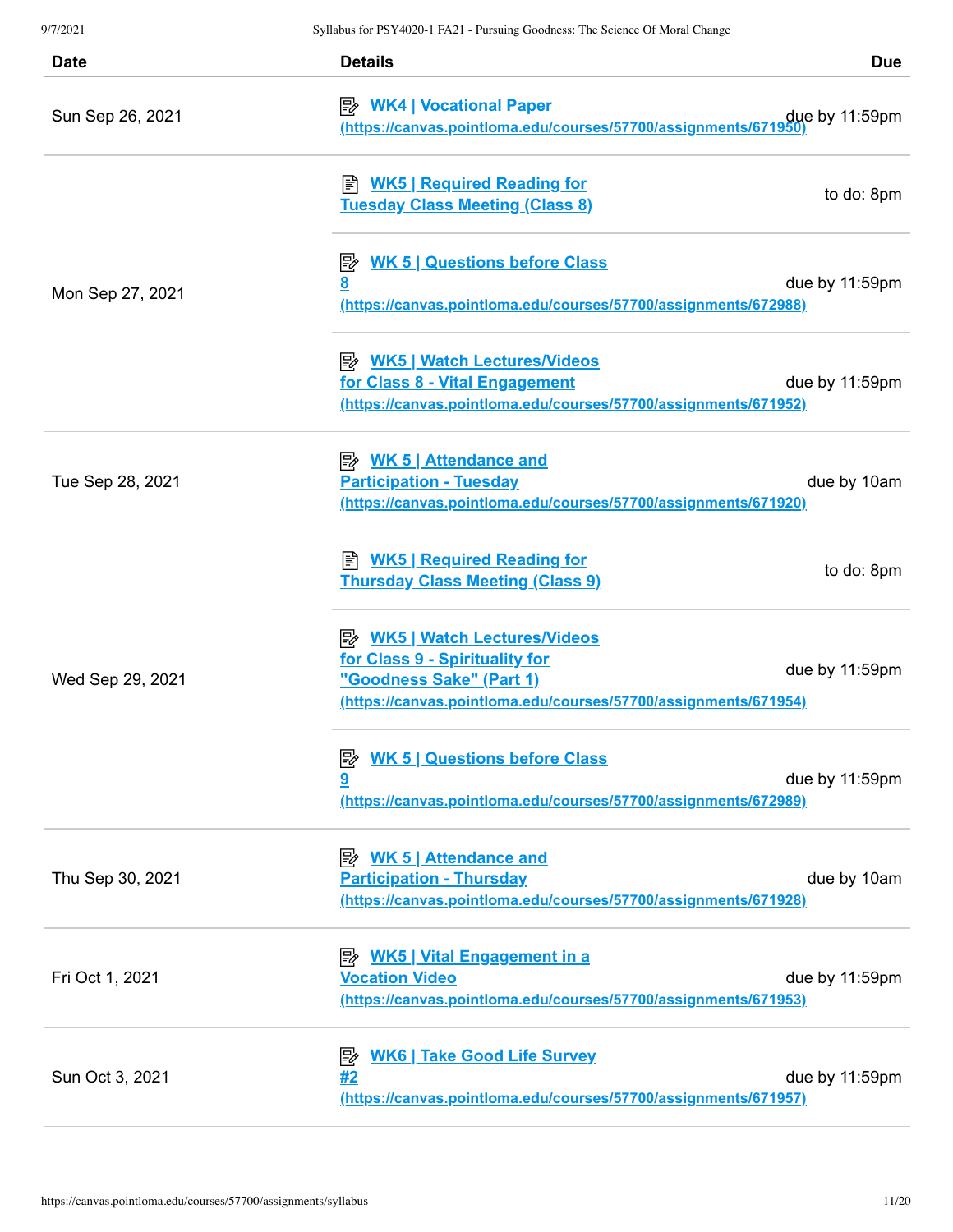| <b>Date</b>      | <b>Details</b>                                                                                                                                                        | <b>Due</b>     |
|------------------|-----------------------------------------------------------------------------------------------------------------------------------------------------------------------|----------------|
| Sun Sep 26, 2021 | <b>B</b> WK4   Vocational Paper<br>https://canvas.pointloma.edu/courses/57700/assignments/671950                                                                      | due by 11:59pm |
|                  | ≢ <u>WK5   Required Reading for</u><br><b>Tuesday Class Meeting (Class 8)</b>                                                                                         | to do: 8pm     |
| Mon Sep 27, 2021 | <b>E</b> <u>WK 5   Questions before Class</u><br><u>8</u><br>(https://canvas.pointloma.edu/courses/57700/assignments/672988)                                          | due by 11:59pm |
|                  | <b>B</b> WK5   Watch Lectures/Videos<br>for Class 8 - Vital Engagement<br>(https://canvas.pointloma.edu/courses/57700/assignments/671952)                             | due by 11:59pm |
| Tue Sep 28, 2021 | <b>B</b> WK 5   Attendance and<br><b>Participation - Tuesday</b><br>(https://canvas.pointloma.edu/courses/57700/assignments/671920)                                   | due by 10am    |
| Wed Sep 29, 2021 | <b>E</b> WK5   Required Reading for<br><b>Thursday Class Meeting (Class 9)</b>                                                                                        | to do: 8pm     |
|                  | <b>B</b> WK5   Watch Lectures/Videos<br>for Class 9 - Spirituality for<br>"Goodness Sake" (Part 1)<br>(https://canvas.pointloma.edu/courses/57700/assignments/671954) | due by 11:59pm |
|                  | <b>WK 5   Questions before Class</b><br>吟<br>9<br>(https://canvas.pointloma.edu/courses/57700/assignments/672989)                                                     | due by 11:59pm |
| Thu Sep 30, 2021 | <u> <i>WK 5</i>   Attendance and</u><br><b>Participation - Thursday</b><br>(https://canvas.pointloma.edu/courses/57700/assignments/671928)                            | due by 10am    |
| Fri Oct 1, 2021  | <u>WK5   Vital Engagement in a</u><br>診<br><b>Vocation Video</b><br>(https://canvas.pointloma.edu/courses/57700/assignments/671953)                                   | due by 11:59pm |
| Sun Oct 3, 2021  | <b>WK6   Take Good Life Survey</b><br>序<br>#2<br>(https://canvas.pointloma.edu/courses/57700/assignments/671957)                                                      | due by 11:59pm |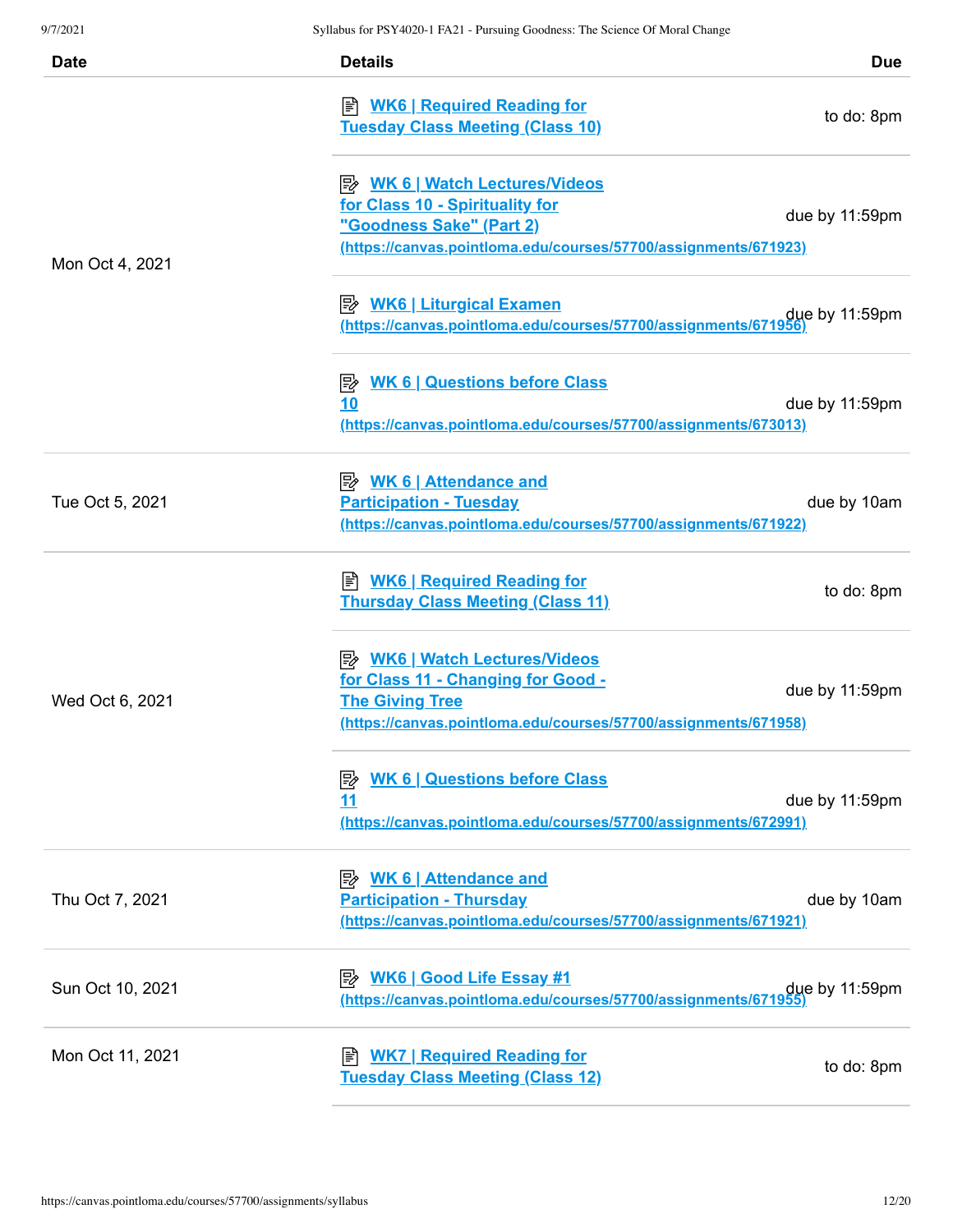| Date             | <b>Details</b>                                                                                                                                                          | <b>Due</b>     |
|------------------|-------------------------------------------------------------------------------------------------------------------------------------------------------------------------|----------------|
| Mon Oct 4, 2021  | <b>E</b> WK6   Required Reading for<br><b>Tuesday Class Meeting (Class 10)</b>                                                                                          | to do: 8pm     |
|                  | for Class 10 - Spirituality for<br>"Goodness Sake" (Part 2)<br>(https://canvas.pointloma.edu/courses/57700/assignments/671923)                                          | due by 11:59pm |
|                  | due by 11:59pm (https://canvas.pointloma.edu/courses/57700/assignments/671956)                                                                                          |                |
|                  | <b>B</b> WK 6   Questions before Class<br>10<br>(https://canvas.pointloma.edu/courses/57700/assignments/673013)                                                         | due by 11:59pm |
| Tue Oct 5, 2021  | <u> <i>WK</i> 6   Attendance and</u><br><b>Participation - Tuesday</b><br>(https://canvas.pointloma.edu/courses/57700/assignments/671922)                               | due by 10am    |
| Wed Oct 6, 2021  | <b>E</b> WK6   Required Reading for<br><b>Thursday Class Meeting (Class 11)</b>                                                                                         | to do: 8pm     |
|                  | <b>B</b> WK6   Watch Lectures/Videos<br>for Class 11 - Changing for Good -<br><b>The Giving Tree</b><br>(https://canvas.pointloma.edu/courses/57700/assignments/671958) | due by 11:59pm |
|                  | <b>WK 6   Questions before Class</b><br><u>11</u><br>(https://canvas.pointloma.edu/courses/57700/assignments/672991)                                                    | due by 11:59pm |
| Thu Oct 7, 2021  | <b>Participation - Thursday</b><br>(https://canvas.pointloma.edu/courses/57700/assignments/671921)                                                                      | due by 10am    |
| Sun Oct 10, 2021 | due by 11:59pm<br>https://canvas.pointloma.edu/courses/57700/assignments/671955)                                                                                        |                |
| Mon Oct 11, 2021 | <b>WK7   Required Reading for</b><br><b>Tuesday Class Meeting (Class 12)</b>                                                                                            | to do: 8pm     |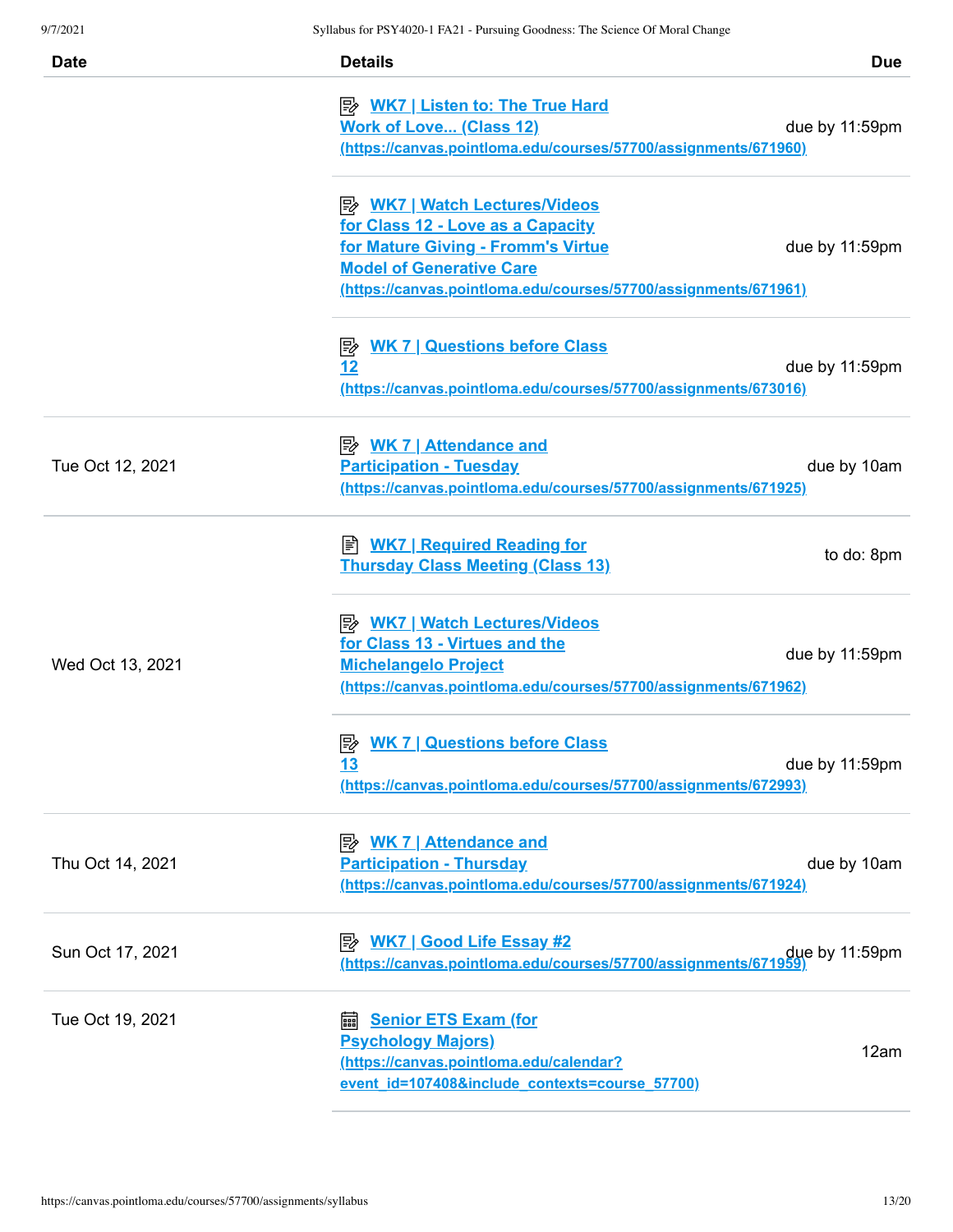| <b>Date</b>      | <b>Details</b>                                                                                                                                                                                                        | <b>Due</b>     |
|------------------|-----------------------------------------------------------------------------------------------------------------------------------------------------------------------------------------------------------------------|----------------|
|                  | <b>B</b> WK7   Listen to: The True Hard<br><b>Work of Love (Class 12)</b><br>(https://canvas.pointloma.edu/courses/57700/assignments/671960)                                                                          | due by 11:59pm |
|                  | <u>≫ WK7   Watch Lectures/Videos</u><br>for Class 12 - Love as a Capacity<br>for Mature Giving - Fromm's Virtue<br><b>Model of Generative Care</b><br>(https://canvas.pointloma.edu/courses/57700/assignments/671961) | due by 11:59pm |
|                  | <b>WK 7   Questions before Class</b><br>彫<br>12<br>(https://canvas.pointloma.edu/courses/57700/assignments/673016)                                                                                                    | due by 11:59pm |
| Tue Oct 12, 2021 | <b>Participation - Tuesday</b><br>(https://canvas.pointloma.edu/courses/57700/assignments/671925)                                                                                                                     | due by 10am    |
|                  | ■ WK7   Required Reading for<br><b>Thursday Class Meeting (Class 13)</b>                                                                                                                                              | to do: 8pm     |
| Wed Oct 13, 2021 | <b>B</b> <u>WK7   Watch Lectures/Videos</u><br>for Class 13 - Virtues and the<br><b>Michelangelo Project</b><br>(https://canvas.pointloma.edu/courses/57700/assignments/671962)                                       | due by 11:59pm |
|                  | <b>E</b> WK 7   Questions before Class<br><u>13</u><br>(https://canvas.pointloma.edu/courses/57700/assignments/672993)                                                                                                | due by 11:59pm |
| Thu Oct 14, 2021 | <b>WK 7   Attendance and</b><br>眕<br><b>Participation - Thursday</b><br>(https://canvas.pointloma.edu/courses/57700/assignments/671924)                                                                               | due by 10am    |
| Sun Oct 17, 2021 | ⊯≽<br><b>WK7   Good Life Essay #2</b><br>due by 11:59pm<br>https://canvas.pointloma.edu/courses/57700/assignments/671959)                                                                                             |                |
| Tue Oct 19, 2021 | <b>Senior ETS Exam (for</b><br>翩<br><b>Psychology Majors)</b><br>(https://canvas.pointloma.edu/calendar?<br>event_id=107408&include_contexts=course_57700)                                                            | 12am           |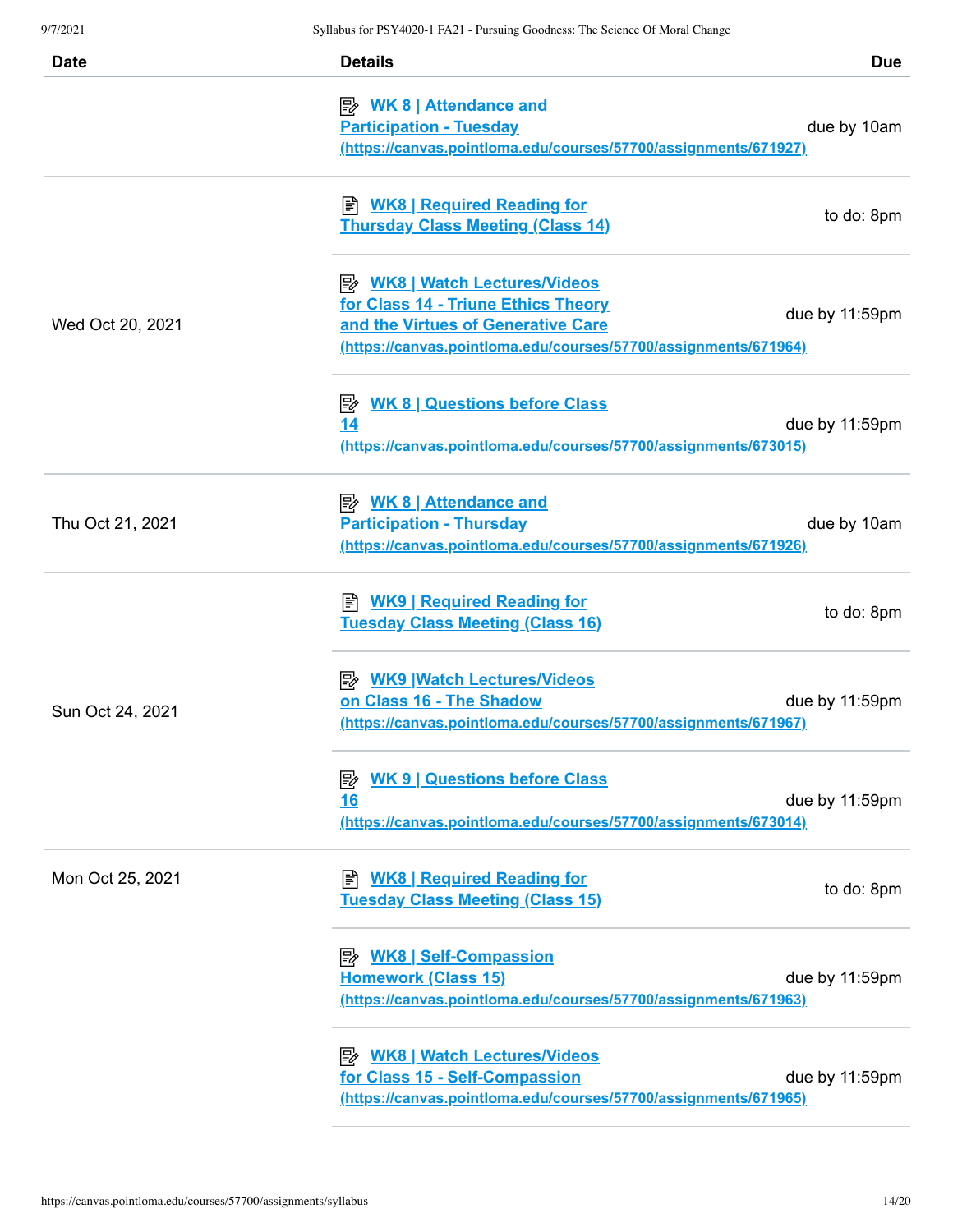| <b>Date</b>      | <b>Details</b>                                                                                                                                                                       | <b>Due</b>     |
|------------------|--------------------------------------------------------------------------------------------------------------------------------------------------------------------------------------|----------------|
|                  | <u> <i>WK</i> 8   Attendance and</u><br><b>Participation - Tuesday</b><br>(https://canvas.pointloma.edu/courses/57700/assignments/671927)                                            | due by 10am    |
|                  | ■ <b>WK8   Required Reading for</b><br><b>Thursday Class Meeting (Class 14)</b>                                                                                                      | to do: 8pm     |
| Wed Oct 20, 2021 | <b>B</b> WK8   Watch Lectures/Videos<br>for Class 14 - Triune Ethics Theory<br>and the Virtues of Generative Care<br>(https://canvas.pointloma.edu/courses/57700/assignments/671964) | due by 11:59pm |
|                  | <b>WK 8   Questions before Class</b><br>零<br>14<br>(https://canvas.pointloma.edu/courses/57700/assignments/673015)                                                                   | due by 11:59pm |
| Thu Oct 21, 2021 | <b>Participation - Thursday</b><br>(https://canvas.pointloma.edu/courses/57700/assignments/671926)                                                                                   | due by 10am    |
|                  | ■ <b>WK9   Required Reading for</b><br><b>Tuesday Class Meeting (Class 16)</b>                                                                                                       | to do: 8pm     |
| Sun Oct 24, 2021 | P WK9   Watch Lectures/Videos<br>on Class 16 - The Shadow<br>(https://canvas.pointloma.edu/courses/57700/assignments/671967)                                                         | due by 11:59pm |
|                  | <b>WK 9   Questions before Class</b><br> 診<br><u>16</u><br>(https://canvas.pointloma.edu/courses/57700/assignments/673014)                                                           | due by 11:59pm |
| Mon Oct 25, 2021 | <b>WK8   Required Reading for</b><br>訚<br><b>Tuesday Class Meeting (Class 15)</b>                                                                                                    | to do: 8pm     |
|                  | <b>Homework (Class 15)</b><br>(https://canvas.pointloma.edu/courses/57700/assignments/671963)                                                                                        | due by 11:59pm |
|                  | <b>B</b> WK8   Watch Lectures/Videos<br>for Class 15 - Self-Compassion<br>(https://canvas.pointloma.edu/courses/57700/assignments/671965)                                            | due by 11:59pm |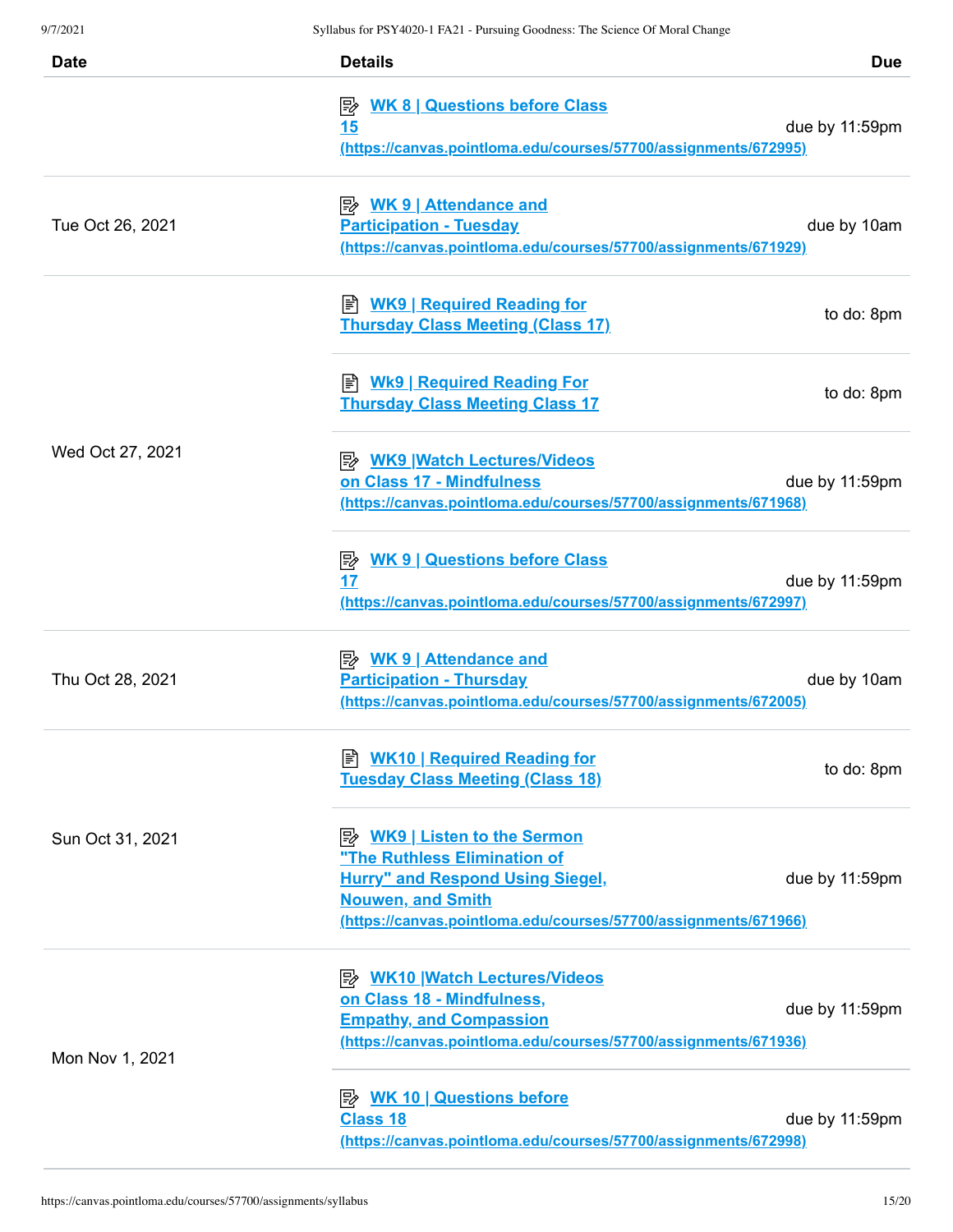| <b>Date</b>      | <b>Details</b>                                                                                                                                                         | <b>Due</b>     |
|------------------|------------------------------------------------------------------------------------------------------------------------------------------------------------------------|----------------|
|                  | <b>WK 8   Questions before Class</b><br>彫<br><u>15</u><br>(https://canvas.pointloma.edu/courses/57700/assignments/672995)                                              | due by 11:59pm |
| Tue Oct 26, 2021 | <b>Participation - Tuesday</b><br>(https://canvas.pointloma.edu/courses/57700/assignments/671929)                                                                      | due by 10am    |
|                  | ≢ <u>WK9   Required Reading for</u><br><b>Thursday Class Meeting (Class 17)</b>                                                                                        | to do: 8pm     |
|                  | ≢ <u>Wk9   Required Reading For</u><br><b>Thursday Class Meeting Class 17</b>                                                                                          | to do: 8pm     |
| Wed Oct 27, 2021 | <b>E</b> WK9 Watch Lectures/Videos<br>on Class 17 - Mindfulness<br>(https://canvas.pointloma.edu/courses/57700/assignments/671968)                                     | due by 11:59pm |
|                  | <b>B</b> WK 9   Questions before Class<br>17<br>(https://canvas.pointloma.edu/courses/57700/assignments/672997)                                                        | due by 11:59pm |
| Thu Oct 28, 2021 | <b>Participation - Thursday</b><br>(https://canvas.pointloma.edu/courses/57700/assignments/672005)                                                                     | due by 10am    |
|                  | <b>B</b> WK10   Required Reading for<br><b>Tuesday Class Meeting (Class 18)</b>                                                                                        | to do: 8pm     |
| Sun Oct 31, 2021 | "The Ruthless Elimination of<br><b>Hurry" and Respond Using Siegel,</b><br><b>Nouwen, and Smith</b><br>(https://canvas.pointloma.edu/courses/57700/assignments/671966) | due by 11:59pm |
| Mon Nov 1, 2021  | <b>B</b> WK10 Watch Lectures/Videos<br>on Class 18 - Mindfulness,<br><b>Empathy, and Compassion</b><br>(https://canvas.pointloma.edu/courses/57700/assignments/671936) | due by 11:59pm |
|                  | <b>B</b> WK 10   Questions before<br><b>Class 18</b><br>(https://canvas.pointloma.edu/courses/57700/assignments/672998)                                                | due by 11:59pm |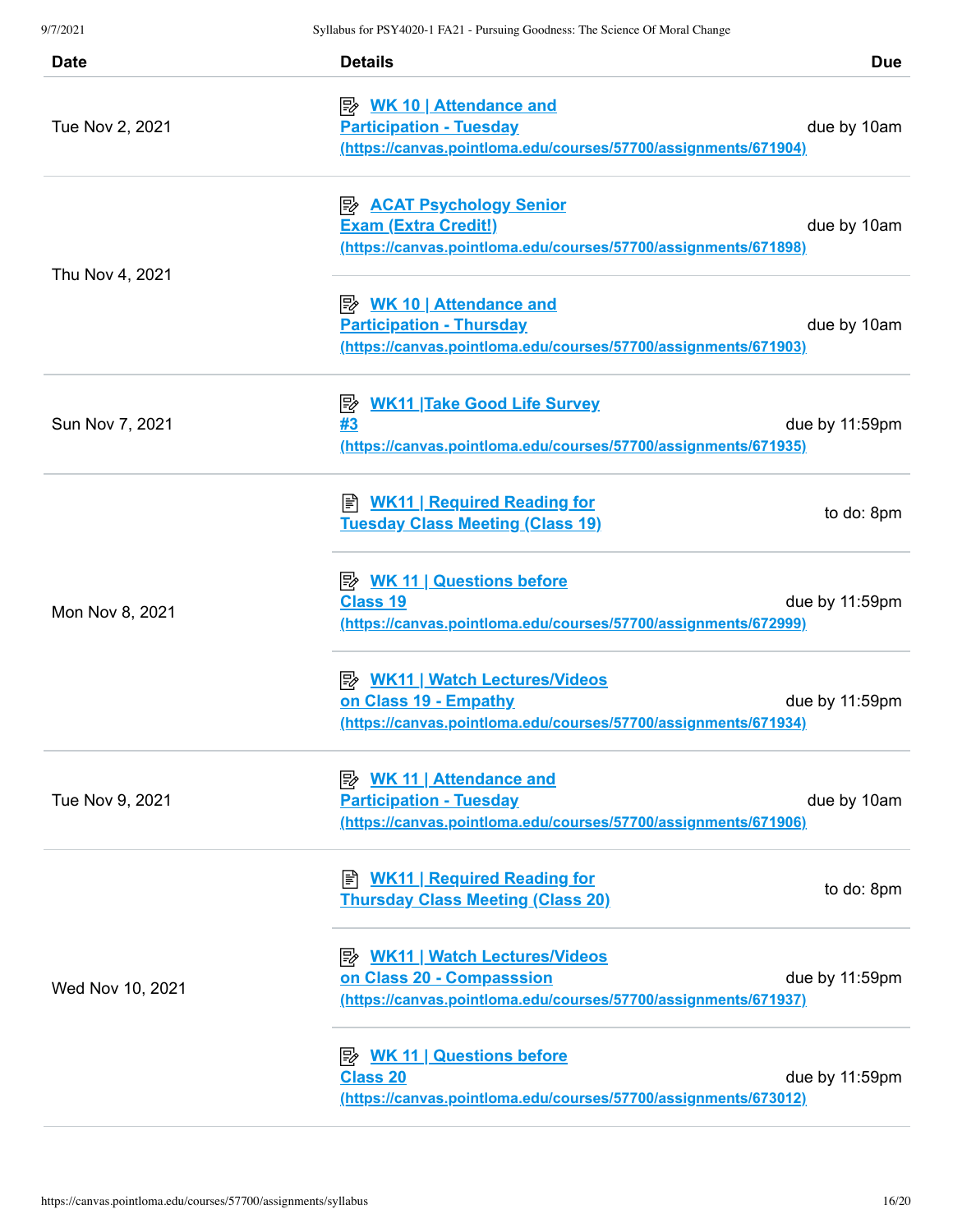| <b>Date</b>      | <b>Details</b>                                                                                                                              | <b>Due</b>     |
|------------------|---------------------------------------------------------------------------------------------------------------------------------------------|----------------|
| Tue Nov 2, 2021  | <u> <i>WK</i> 10   Attendance and</u><br><b>Participation - Tuesday</b><br>(https://canvas.pointloma.edu/courses/57700/assignments/671904)  | due by 10am    |
|                  | <b>E</b> ACAT Psychology Senior<br><b>Exam (Extra Credit!)</b><br>(https://canvas.pointloma.edu/courses/57700/assignments/671898)           | due by 10am    |
| Thu Nov 4, 2021  | <u> <i>WK</i> 10   Attendance and</u><br><b>Participation - Thursday</b><br>(https://canvas.pointloma.edu/courses/57700/assignments/671903) | due by 10am    |
| Sun Nov 7, 2021  | <b>WK11 Take Good Life Survey</b><br> 診<br>#3<br>(https://canvas.pointloma.edu/courses/57700/assignments/671935)                            | due by 11:59pm |
|                  | <b>E</b> WK11   Required Reading for<br><b>Tuesday Class Meeting (Class 19)</b>                                                             | to do: 8pm     |
| Mon Nov 8, 2021  | <b>B</b> WK 11   Questions before<br><b>Class 19</b><br>(https://canvas.pointloma.edu/courses/57700/assignments/672999)                     | due by 11:59pm |
|                  | <b>B</b> WK11   Watch Lectures/Videos<br>on Class 19 - Empathy<br>(https://canvas.pointloma.edu/courses/57700/assignments/671934)           | due by 11:59pm |
| Tue Nov 9, 2021  | <u> <i>WK</i> 11   Attendance and</u><br><b>Participation - Tuesday</b><br>(https://canvas.pointloma.edu/courses/57700/assignments/671906)  | due by 10am    |
| Wed Nov 10, 2021 | <b>WK11   Required Reading for</b><br>訚<br><b>Thursday Class Meeting (Class 20)</b>                                                         | to do: 8pm     |
|                  | <b>B</b> WK11   Watch Lectures/Videos<br>on Class 20 - Compasssion<br>(https://canvas.pointloma.edu/courses/57700/assignments/671937)       | due by 11:59pm |
|                  | <b>Class 20</b><br>(https://canvas.pointloma.edu/courses/57700/assignments/673012)                                                          | due by 11:59pm |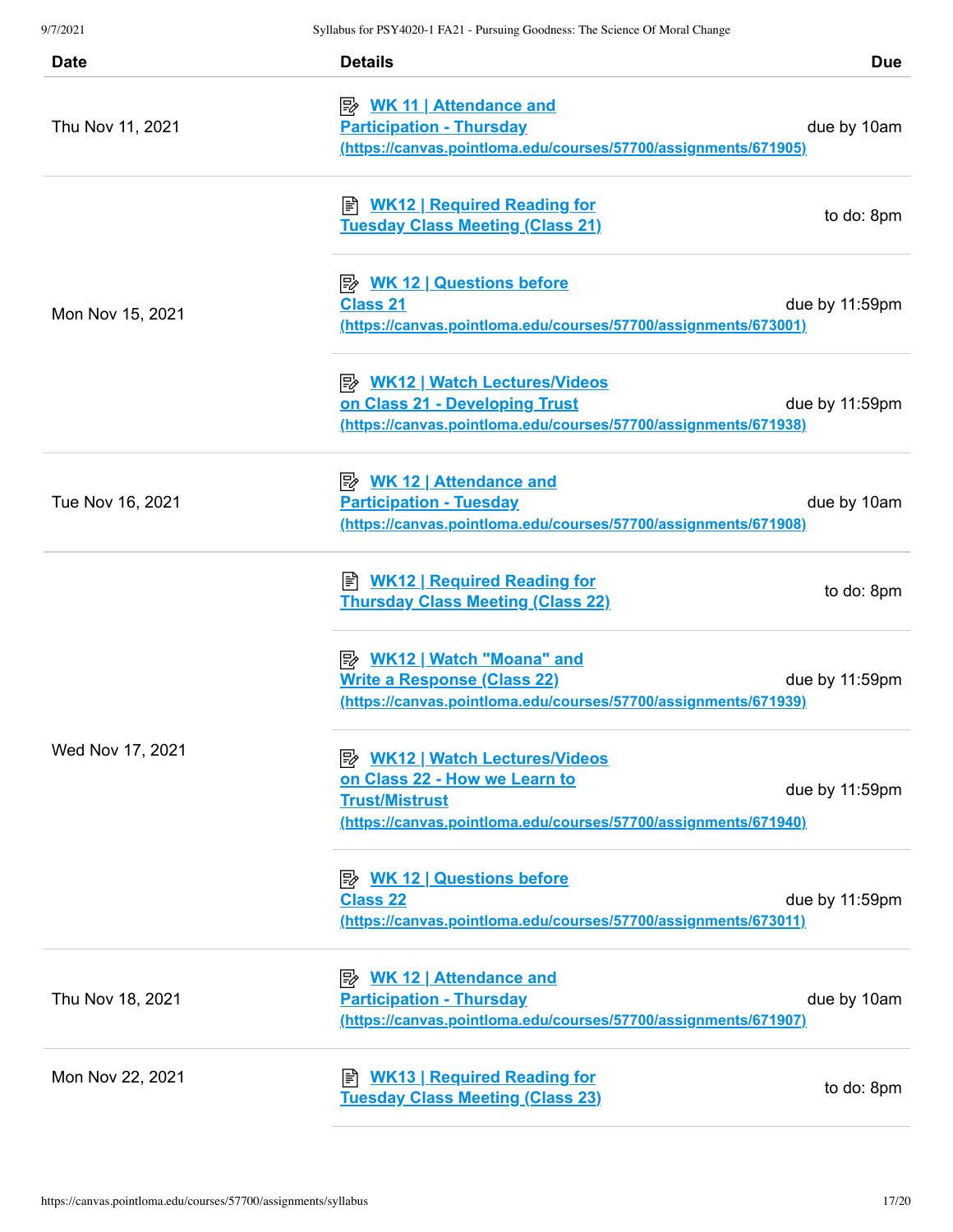| <b>Date</b>      | <b>Details</b>                                                                                                                                                     | <b>Due</b>     |
|------------------|--------------------------------------------------------------------------------------------------------------------------------------------------------------------|----------------|
| Thu Nov 11, 2021 | <u> <i>WK</i> 11   Attendance and</u><br><b>Participation - Thursday</b><br>(https://canvas.pointloma.edu/courses/57700/assignments/671905)                        | due by 10am    |
|                  | <u>WK12   Required Reading for</u><br><b>Tuesday Class Meeting (Class 21)</b>                                                                                      | to do: 8pm     |
| Mon Nov 15, 2021 | <b>A. WK 12   Questions before</b><br><b>Class 21</b><br>(https://canvas.pointloma.edu/courses/57700/assignments/673001)                                           | due by 11:59pm |
|                  | <b>B</b> WK12   Watch Lectures/Videos<br>on Class 21 - Developing Trust<br>(https://canvas.pointloma.edu/courses/57700/assignments/671938)                         | due by 11:59pm |
| Tue Nov 16, 2021 | <u> <i>WK</i> 12   Attendance and</u><br><b>Participation - Tuesday</b><br>(https://canvas.pointloma.edu/courses/57700/assignments/671908)                         | due by 10am    |
|                  | ■ WK12   Required Reading for<br><b>Thursday Class Meeting (Class 22)</b>                                                                                          | to do: 8pm     |
|                  | <b>Write a Response (Class 22)</b><br>(https://canvas.pointloma.edu/courses/57700/assignments/671939)                                                              | due by 11:59pm |
| Wed Nov 17, 2021 | <b>B</b> WK12   Watch Lectures/Videos<br>on Class 22 - How we Learn to<br><b>Trust/Mistrust</b><br>(https://canvas.pointloma.edu/courses/57700/assignments/671940) | due by 11:59pm |
|                  | <b>B</b> WK 12   Questions before<br><b>Class 22</b><br>(https://canvas.pointloma.edu/courses/57700/assignments/673011)                                            | due by 11:59pm |
| Thu Nov 18, 2021 | <b>Participation - Thursday</b><br>(https://canvas.pointloma.edu/courses/57700/assignments/671907)                                                                 | due by 10am    |
| Mon Nov 22, 2021 | E WK13   Required Reading for<br><b>Tuesday Class Meeting (Class 23)</b>                                                                                           | to do: 8pm     |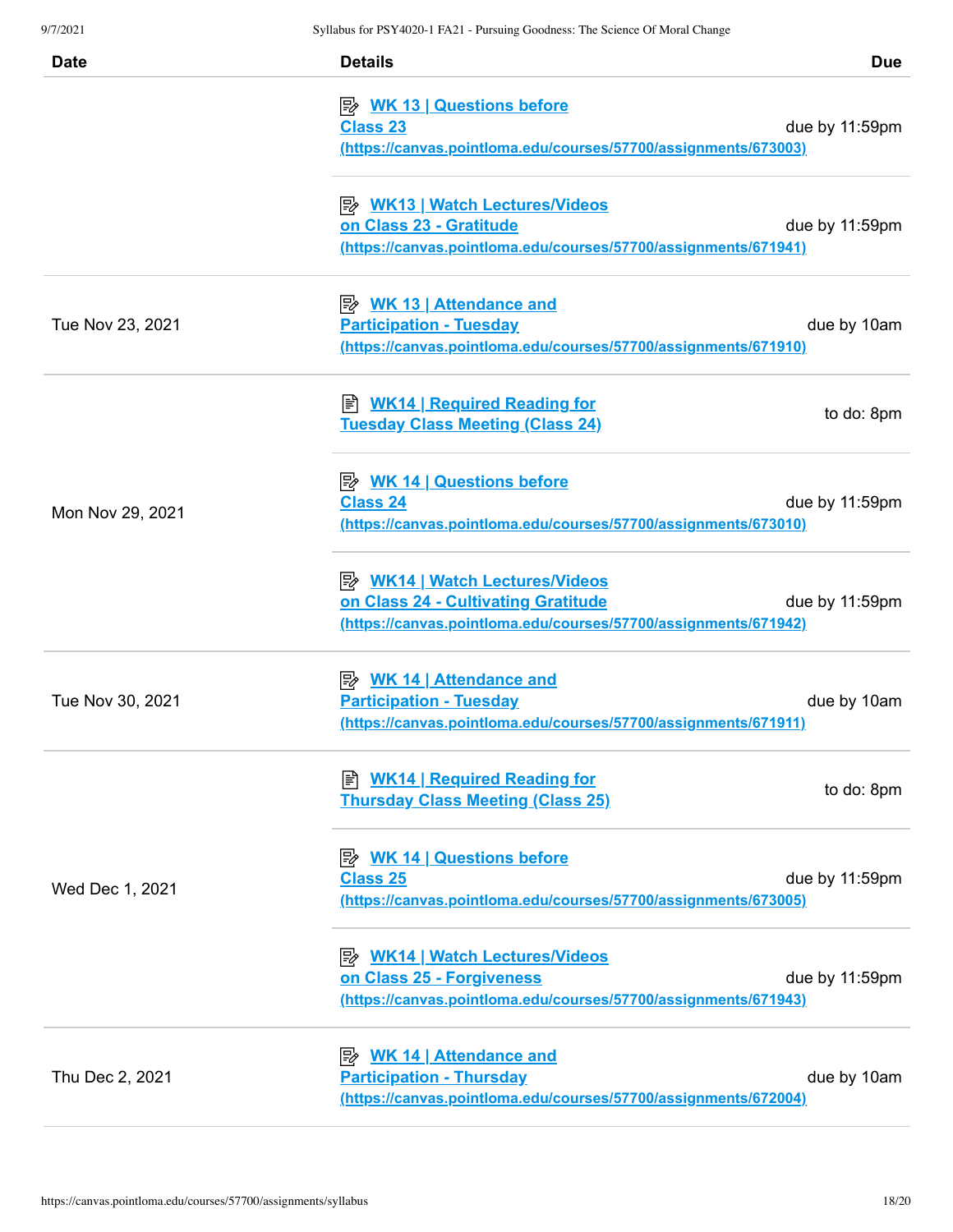| <b>Date</b>      | <b>Details</b>                                                                                                                                  | <b>Due</b>     |
|------------------|-------------------------------------------------------------------------------------------------------------------------------------------------|----------------|
|                  | <b>B</b> WK 13   Questions before<br><b>Class 23</b><br>(https://canvas.pointloma.edu/courses/57700/assignments/673003)                         | due by 11:59pm |
|                  | P WK13   Watch Lectures/Videos<br>on Class 23 - Gratitude<br>(https://canvas.pointloma.edu/courses/57700/assignments/671941)                    | due by 11:59pm |
| Tue Nov 23, 2021 | <u> <i>WK</i> 13   Attendance and</u><br><b>Participation - Tuesday</b><br>(https://canvas.pointloma.edu/courses/57700/assignments/671910)      | due by 10am    |
|                  | <b>E</b> WK14   Required Reading for<br><b>Tuesday Class Meeting (Class 24)</b>                                                                 | to do: 8pm     |
| Mon Nov 29, 2021 | <b>B</b> WK 14   Questions before<br><b>Class 24</b><br>(https://canvas.pointloma.edu/courses/57700/assignments/673010)                         | due by 11:59pm |
|                  | <b>B</b> WK14   Watch Lectures/Videos<br>on Class 24 - Cultivating Gratitude<br>(https://canvas.pointloma.edu/courses/57700/assignments/671942) | due by 11:59pm |
| Tue Nov 30, 2021 | <u> <i>WK</i> 14   Attendance and</u><br><b>Participation - Tuesday</b><br>(https://canvas.pointloma.edu/courses/57700/assignments/671911)      | due by 10am    |
|                  | <b>E</b> WK14   Required Reading for<br><b>Thursday Class Meeting (Class 25)</b>                                                                | to do: 8pm     |
| Wed Dec 1, 2021  | <b>Class 25</b><br>(https://canvas.pointloma.edu/courses/57700/assignments/673005)                                                              | due by 11:59pm |
|                  | <b>B</b> WK14   Watch Lectures/Videos<br>on Class 25 - Forgiveness<br>(https://canvas.pointloma.edu/courses/57700/assignments/671943)           | due by 11:59pm |
| Thu Dec 2, 2021  | <u>WK 14   Attendance and</u><br><b>Participation - Thursday</b><br>(https://canvas.pointloma.edu/courses/57700/assignments/672004)             | due by 10am    |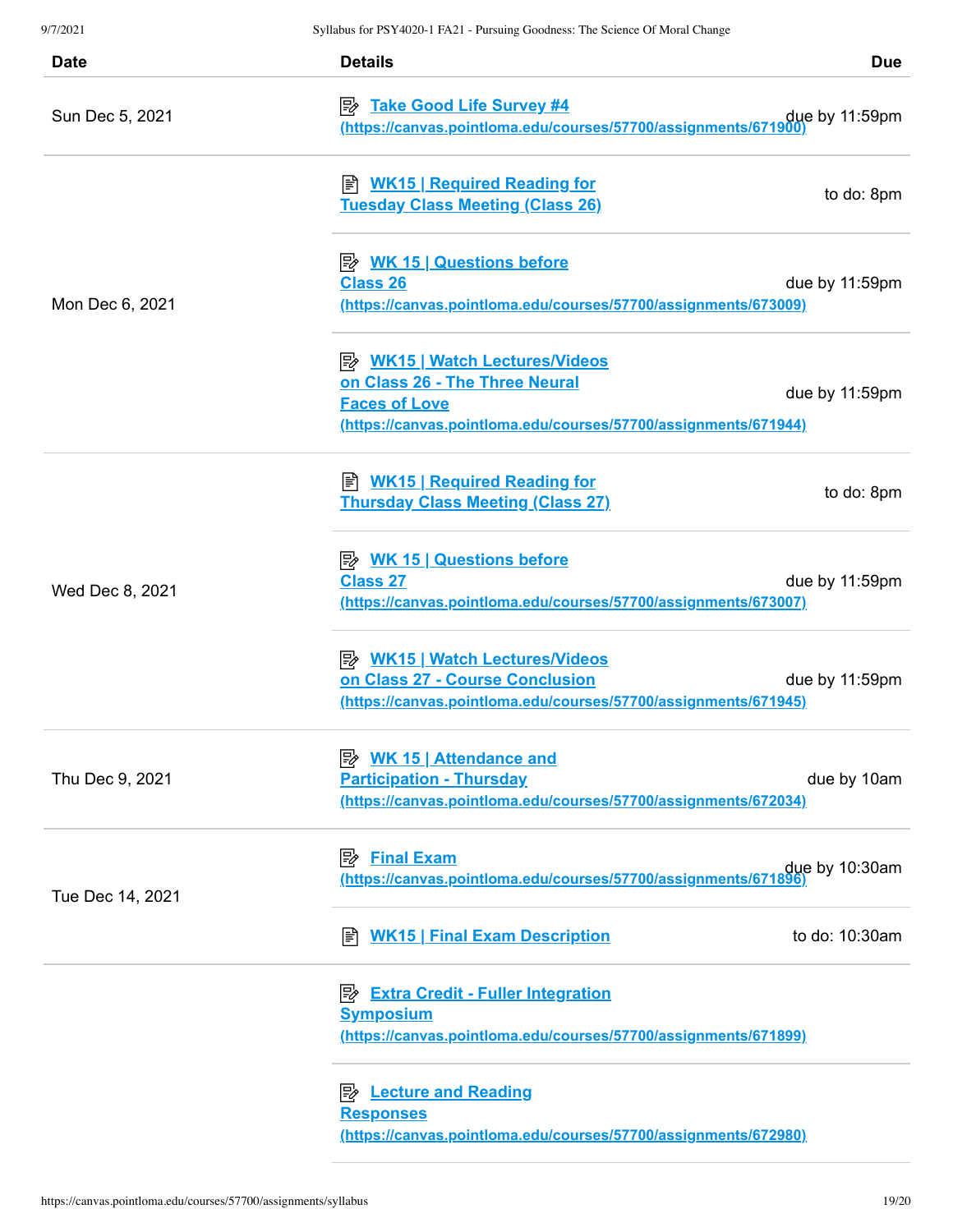| <b>Date</b>      | <b>Details</b>                                                                                                                                                     | <b>Due</b>     |
|------------------|--------------------------------------------------------------------------------------------------------------------------------------------------------------------|----------------|
| Sun Dec 5, 2021  | <b>B</b> Take Good Life Survey #4<br>(https://canvas.pointloma.edu/courses/57700/assignments/671900                                                                | due by 11:59pm |
| Mon Dec 6, 2021  | B WK15   Required Reading for<br><b>Tuesday Class Meeting (Class 26)</b>                                                                                           | to do: 8pm     |
|                  | <b>Class 26</b><br>(https://canvas.pointloma.edu/courses/57700/assignments/673009)                                                                                 | due by 11:59pm |
|                  | <b>B</b> WK15   Watch Lectures/Videos<br>on Class 26 - The Three Neural<br><b>Faces of Love</b><br>(https://canvas.pointloma.edu/courses/57700/assignments/671944) | due by 11:59pm |
| Wed Dec 8, 2021  | B WK15   Required Reading for<br><b>Thursday Class Meeting (Class 27)</b>                                                                                          | to do: 8pm     |
|                  | <b>A. WK 15   Questions before</b><br><b>Class 27</b><br>(https://canvas.pointloma.edu/courses/57700/assignments/673007)                                           | due by 11:59pm |
|                  | <b>B</b> WK15   Watch Lectures/Videos<br>on Class 27 - Course Conclusion<br>(https://canvas.pointloma.edu/courses/57700/assignments/671945)                        | due by 11:59pm |
| Thu Dec 9, 2021  | <u>≫ WK 15   Attendance and</u><br><b>Participation - Thursday</b><br>(https://canvas.pointloma.edu/courses/57700/assignments/672034)                              | due by 10am    |
| Tue Dec 14, 2021 | <b>Final Exam</b><br>眕<br>due by 10:30am<br>https://canvas.pointloma.edu/courses/57700/assignments/671896)                                                         |                |
|                  | E <u>WK15   Final Exam Description</u>                                                                                                                             | to do: 10:30am |
|                  | <b>B</b> Extra Credit - Fuller Integration<br><b>Symposium</b><br>(https://canvas.pointloma.edu/courses/57700/assignments/671899)                                  |                |
|                  | <b>B</b> Lecture and Reading<br><b>Responses</b><br>(https://canvas.pointloma.edu/courses/57700/assignments/672980)                                                |                |